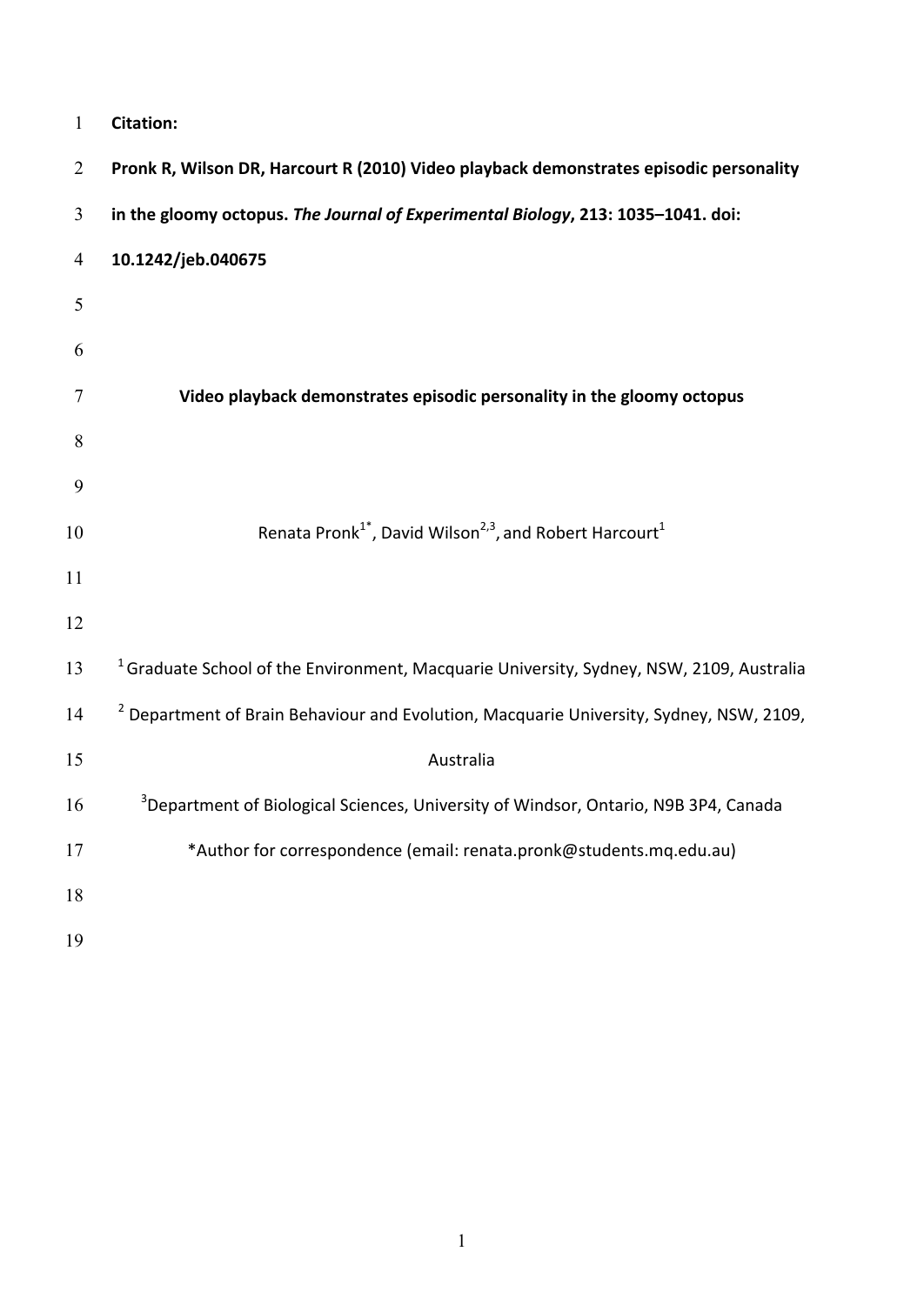| $\mathbf{1}$   | <b>Citation:</b>                                                                                    |
|----------------|-----------------------------------------------------------------------------------------------------|
| $\overline{2}$ | Pronk R, Wilson DR, Harcourt R (2010) Video playback demonstrates episodic personality              |
| 3              | in the gloomy octopus. The Journal of Experimental Biology, 213: 1035-1041. doi:                    |
| $\overline{4}$ | 10.1242/jeb.040675                                                                                  |
| 5              |                                                                                                     |
| 6              |                                                                                                     |
| $\overline{7}$ | Video playback demonstrates episodic personality in the gloomy octopus                              |
| 8              |                                                                                                     |
| 9              |                                                                                                     |
| 10             | Renata Pronk <sup>1*</sup> , David Wilson <sup>2,3</sup> , and Robert Harcourt <sup>1</sup>         |
| 11             |                                                                                                     |
| 12             |                                                                                                     |
| 13             | <sup>1</sup> Graduate School of the Environment, Macquarie University, Sydney, NSW, 2109, Australia |
| 14             | <sup>2</sup> Department of Brain Behaviour and Evolution, Macquarie University, Sydney, NSW, 2109,  |
| 15             | Australia                                                                                           |
| 16             | <sup>3</sup> Department of Biological Sciences, University of Windsor, Ontario, N9B 3P4, Canada     |
| 17             | *Author for correspondence (email: renata.pronk@students.mq.edu.au)                                 |
| 18             |                                                                                                     |
| 19             |                                                                                                     |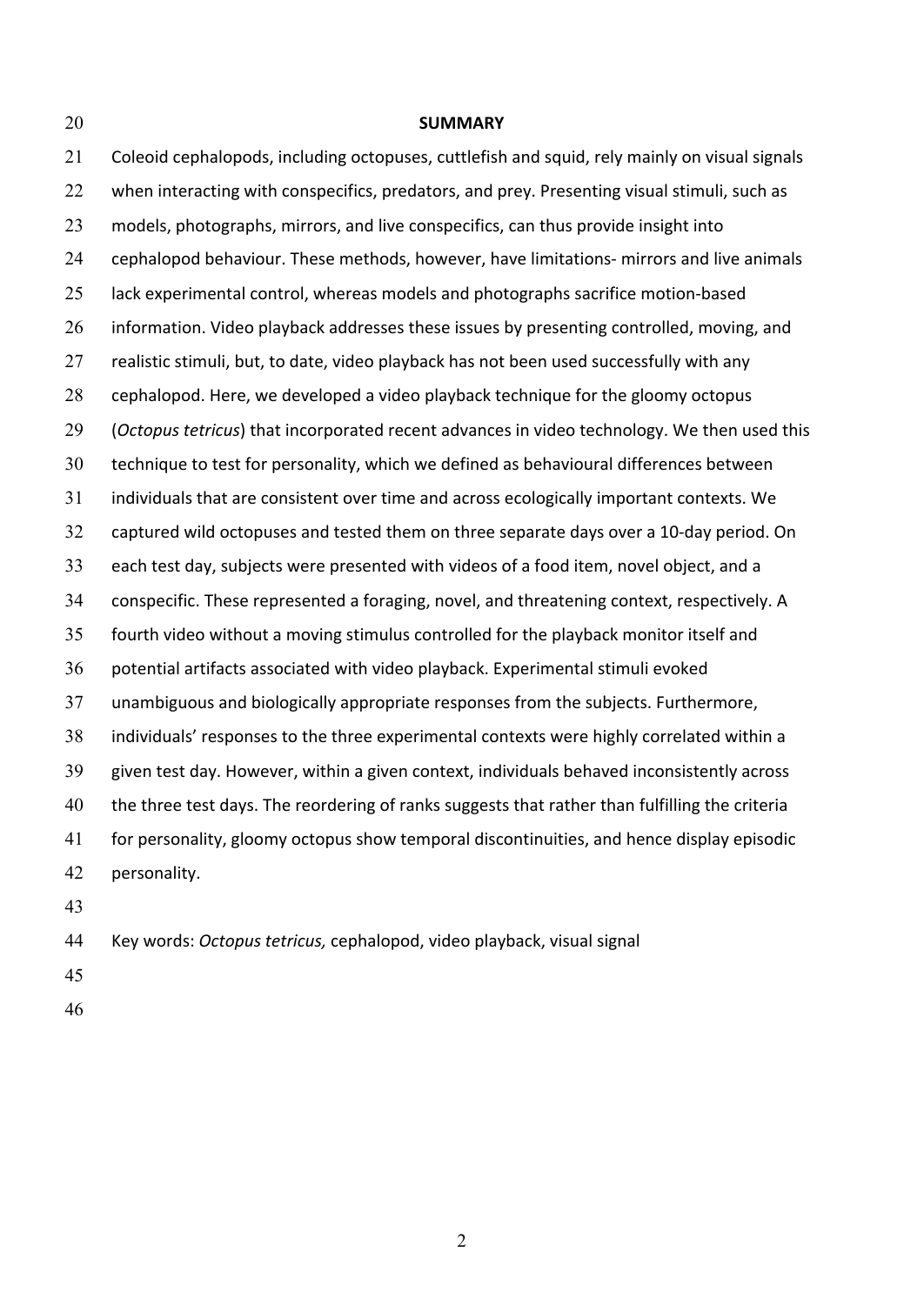20 **SUMMARY** 21 Coleoid cephalopods, including octopuses, cuttlefish and squid, rely mainly on visual signals 22 when interacting with conspecifics, predators, and prey. Presenting visual stimuli, such as 23 models, photographs, mirrors, and live conspecifics, can thus provide insight into 24 cephalopod behaviour. These methods, however, have limitations- mirrors and live animals 25 lack experimental control, whereas models and photographs sacrifice motion-based 26 information. Video playback addresses these issues by presenting controlled, moving, and 27 realistic stimuli, but, to date, video playback has not been used successfully with any 28 cephalopod. Here, we developed a video playback technique for the gloomy octopus 29 (*Octopus tetricus*) that incorporated recent advances in video technology. We then used this 30 technique to test for personality, which we defined as behavioural differences between 31 individuals that are consistent over time and across ecologically important contexts. We 32 captured wild octopuses and tested them on three separate days over a 10-day period. On 33 each test day, subjects were presented with videos of a food item, novel object, and a 34 conspecific. These represented a foraging, novel, and threatening context, respectively. A 35 fourth video without a moving stimulus controlled for the playback monitor itself and 36 potential artifacts associated with video playback. Experimental stimuli evoked 37 unambiguous and biologically appropriate responses from the subjects. Furthermore, 38 individuals' responses to the three experimental contexts were highly correlated within a 39 given test day. However, within a given context, individuals behaved inconsistently across 40 the three test days. The reordering of ranks suggests that rather than fulfilling the criteria 41 for personality, gloomy octopus show temporal discontinuities, and hence display episodic 42 personality. 43

44 Key words: Octopus tetricus, cephalopod, video playback, visual signal

- 45
- 46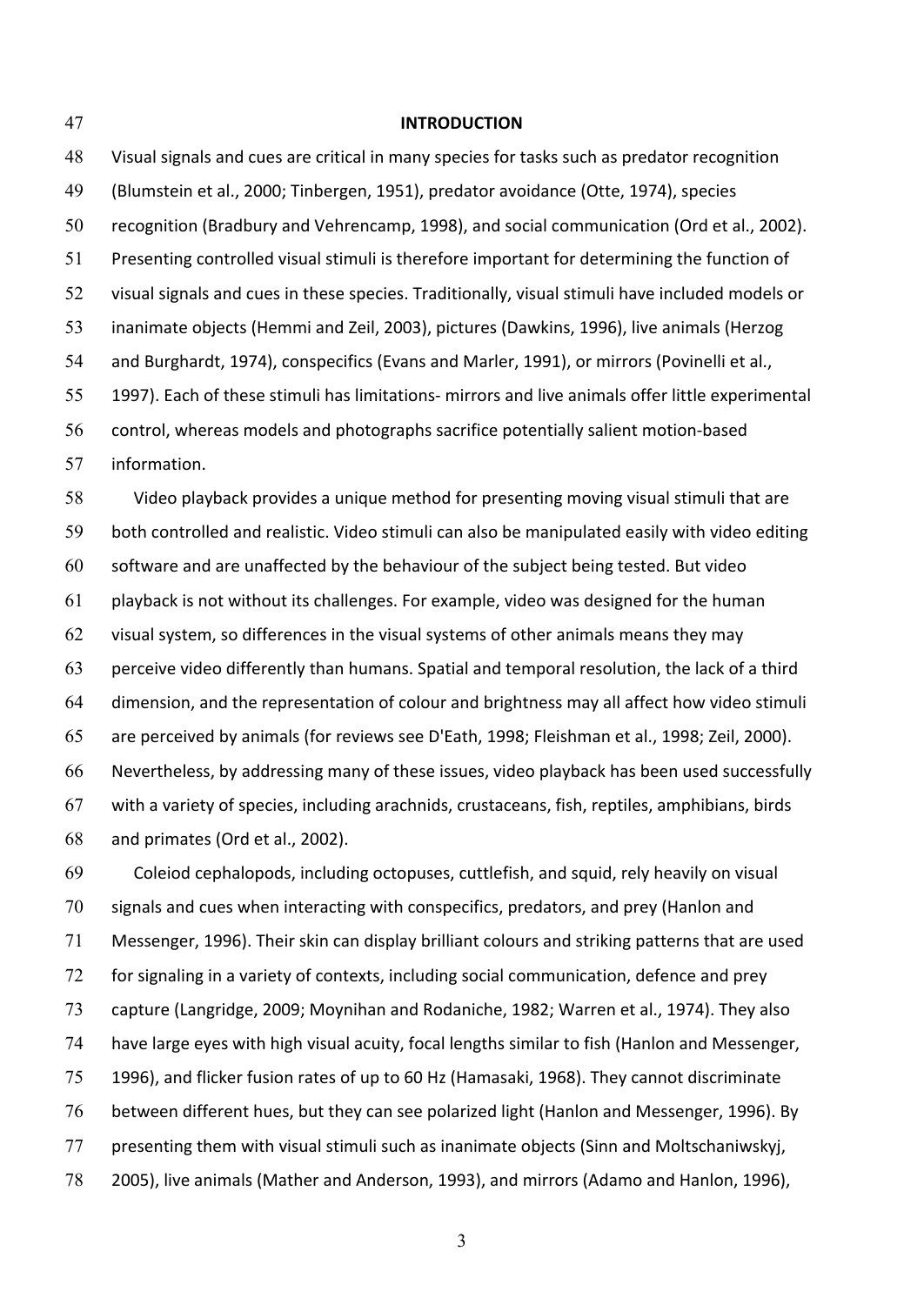### 47 **INTRODUCTION**

48 Visual signals and cues are critical in many species for tasks such as predator recognition 49 (Blumstein et al., 2000; Tinbergen, 1951), predator avoidance (Otte, 1974), species 50 recognition (Bradbury and Vehrencamp, 1998), and social communication (Ord et al., 2002). 51 Presenting controlled visual stimuli is therefore important for determining the function of 52 visual signals and cues in these species. Traditionally, visual stimuli have included models or 53 inanimate objects (Hemmi and Zeil, 2003), pictures (Dawkins, 1996), live animals (Herzog 54 and Burghardt, 1974), conspecifics (Evans and Marler, 1991), or mirrors (Povinelli et al., 55 1997). Each of these stimuli has limitations- mirrors and live animals offer little experimental 56 control, whereas models and photographs sacrifice potentially salient motion-based 57 information.

58 Video playback provides a unique method for presenting moving visual stimuli that are 59 both controlled and realistic. Video stimuli can also be manipulated easily with video editing  $60$  software and are unaffected by the behaviour of the subject being tested. But video  $61$  playback is not without its challenges. For example, video was designed for the human 62 visual system, so differences in the visual systems of other animals means they may  $63$  perceive video differently than humans. Spatial and temporal resolution, the lack of a third 64 dimension, and the representation of colour and brightness may all affect how video stimuli 65 are perceived by animals (for reviews see D'Eath, 1998; Fleishman et al., 1998; Zeil, 2000). 66 Nevertheless, by addressing many of these issues, video playback has been used successfully 67 with a variety of species, including arachnids, crustaceans, fish, reptiles, amphibians, birds 68 and primates (Ord et al., 2002).

69 Coleiod cephalopods, including octopuses, cuttlefish, and squid, rely heavily on visual 70 signals and cues when interacting with conspecifics, predators, and prey (Hanlon and 71 Messenger, 1996). Their skin can display brilliant colours and striking patterns that are used 72 for signaling in a variety of contexts, including social communication, defence and prey 73 capture (Langridge, 2009; Moynihan and Rodaniche, 1982; Warren et al., 1974). They also 74 have large eyes with high visual acuity, focal lengths similar to fish (Hanlon and Messenger, 75 1996), and flicker fusion rates of up to 60 Hz (Hamasaki, 1968). They cannot discriminate 76 between different hues, but they can see polarized light (Hanlon and Messenger, 1996). By 77 presenting them with visual stimuli such as inanimate objects (Sinn and Moltschaniwskyj, 78 2005), live animals (Mather and Anderson, 1993), and mirrors (Adamo and Hanlon, 1996),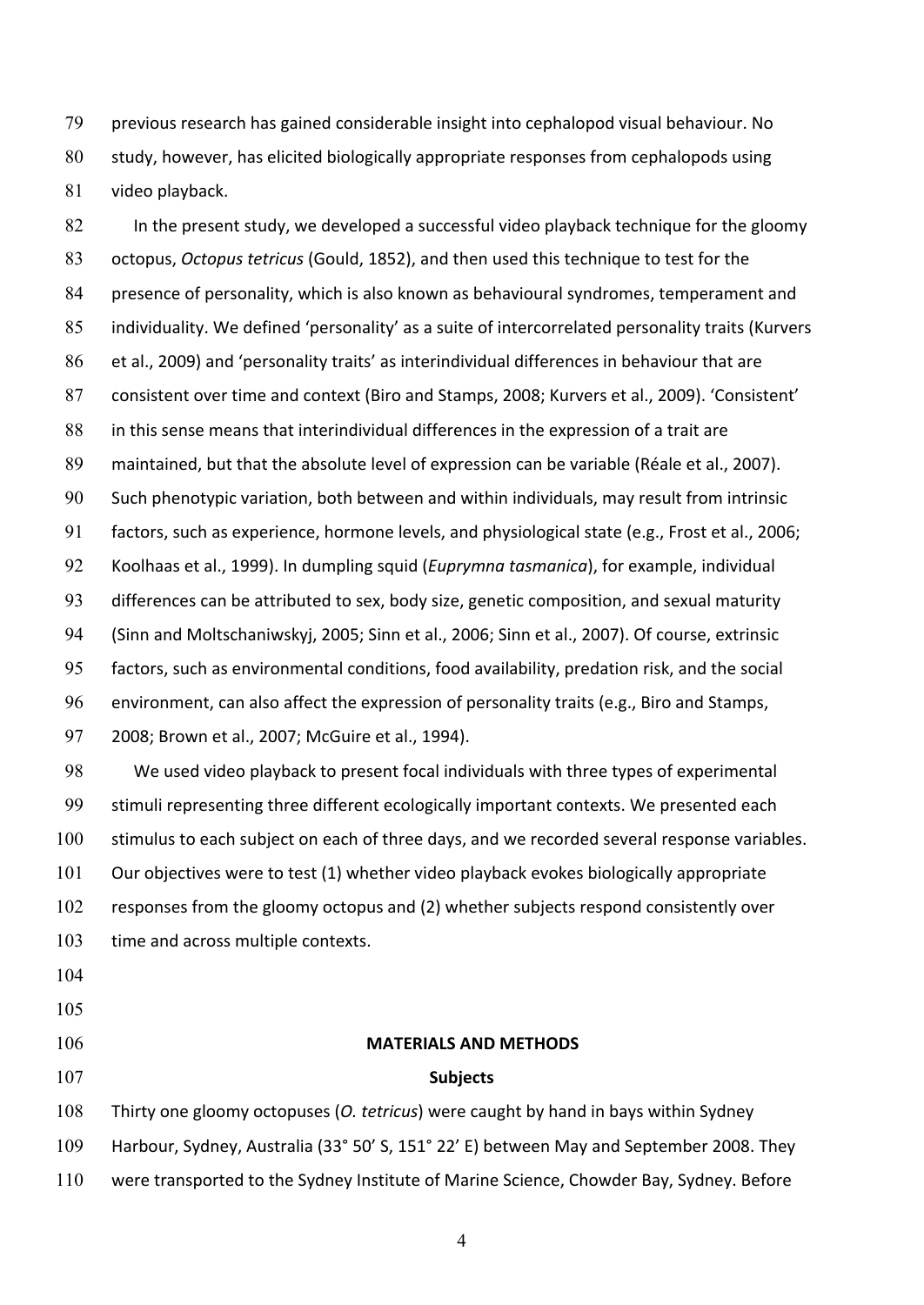79 previous research has gained considerable insight into cephalopod visual behaviour. No 80 study, however, has elicited biologically appropriate responses from cephalopods using 81 video playback.

82 In the present study, we developed a successful video playback technique for the gloomy 83 octopus, *Octopus tetricus* (Gould, 1852), and then used this technique to test for the 84 presence of personality, which is also known as behavioural syndromes, temperament and 85 individuality. We defined 'personality' as a suite of intercorrelated personality traits (Kurvers 86 et al., 2009) and 'personality traits' as interindividual differences in behaviour that are 87 consistent over time and context (Biro and Stamps, 2008; Kurvers et al., 2009). 'Consistent' 88 in this sense means that interindividual differences in the expression of a trait are 89 maintained, but that the absolute level of expression can be variable (Réale et al., 2007). 90 Such phenotypic variation, both between and within individuals, may result from intrinsic 91 factors, such as experience, hormone levels, and physiological state (e.g., Frost et al., 2006; 92 Koolhaas et al., 1999). In dumpling squid (*Euprymna tasmanica*), for example, individual 93 differences can be attributed to sex, body size, genetic composition, and sexual maturity 94 (Sinn and Moltschaniwskyj, 2005; Sinn et al., 2006; Sinn et al., 2007). Of course, extrinsic 95 factors, such as environmental conditions, food availability, predation risk, and the social 96 environment, can also affect the expression of personality traits (e.g., Biro and Stamps, 97 2008; Brown et al., 2007; McGuire et al., 1994).

98 We used video playback to present focal individuals with three types of experimental 99 stimuli representing three different ecologically important contexts. We presented each 100 stimulus to each subject on each of three days, and we recorded several response variables. 101 Our objectives were to test (1) whether video playback evokes biologically appropriate 102 responses from the gloomy octopus and (2) whether subjects respond consistently over 103 time and across multiple contexts.

- 104
- 105
- 

# 106 **MATERIALS AND METHODS**

## 107 **Subjects**

108 Thirty one gloomy octopuses (*O. tetricus*) were caught by hand in bays within Sydney 109 Harbour, Sydney, Australia (33° 50' S, 151° 22' E) between May and September 2008. They 110 were transported to the Sydney Institute of Marine Science, Chowder Bay, Sydney. Before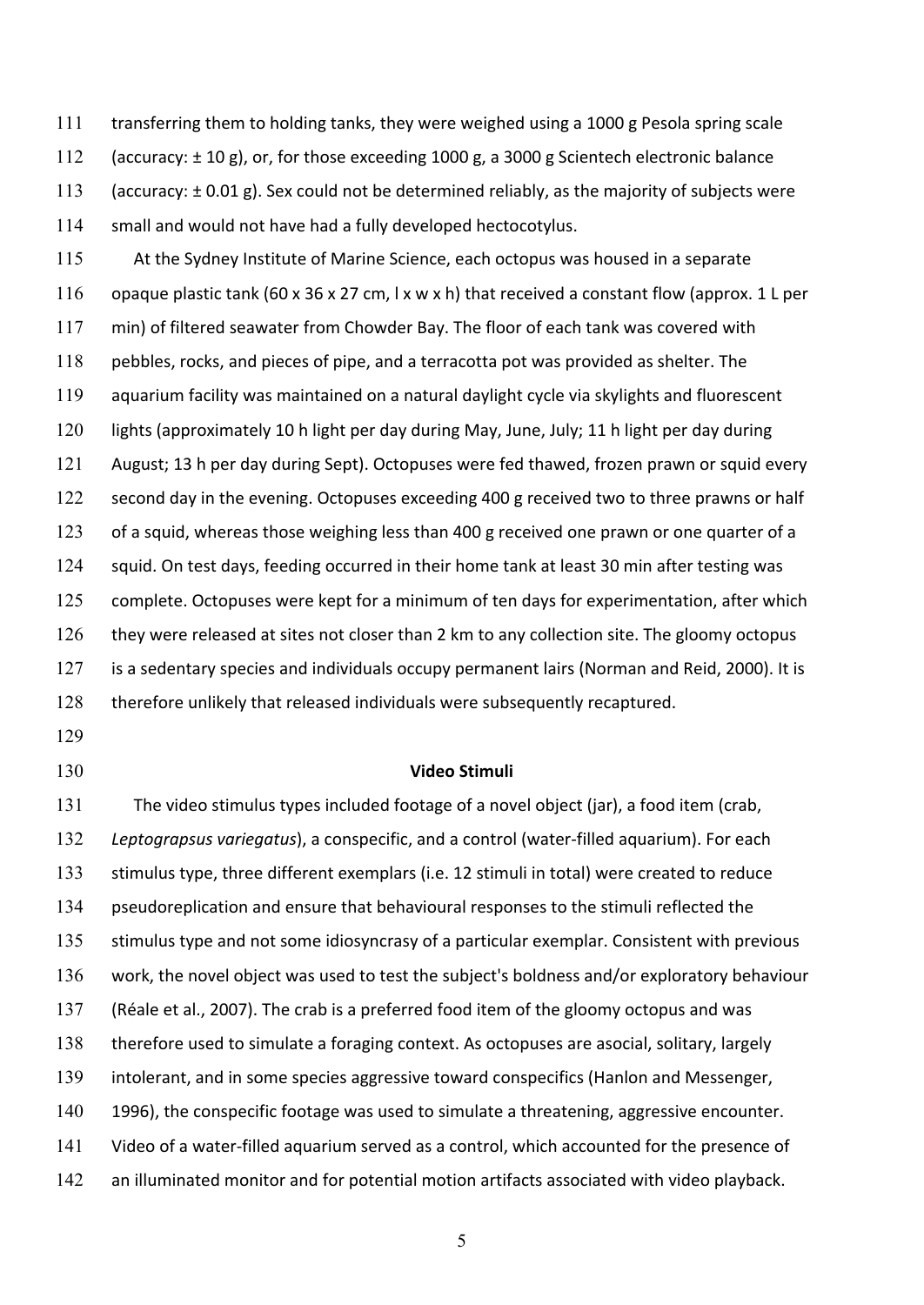111 transferring them to holding tanks, they were weighed using a 1000 g Pesola spring scale 112 (accuracy:  $\pm$  10 g), or, for those exceeding 1000 g, a 3000 g Scientech electronic balance 113 (accuracy:  $\pm$  0.01 g). Sex could not be determined reliably, as the majority of subjects were 114 small and would not have had a fully developed hectocotylus.

115 At the Sydney Institute of Marine Science, each octopus was housed in a separate 116 opaque plastic tank  $(60 \times 36 \times 27 \text{ cm}, 1 \times \text{w} \times \text{h})$  that received a constant flow (approx. 1 L per 117 min) of filtered seawater from Chowder Bay. The floor of each tank was covered with 118 pebbles, rocks, and pieces of pipe, and a terracotta pot was provided as shelter. The 119 aquarium facility was maintained on a natural daylight cycle via skylights and fluorescent 120 lights (approximately 10 h light per day during May, June, July; 11 h light per day during 121 August; 13 h per day during Sept). Octopuses were fed thawed, frozen prawn or squid every 122 second day in the evening. Octopuses exceeding 400 g received two to three prawns or half 123 of a squid, whereas those weighing less than 400 g received one prawn or one quarter of a 124 squid. On test days, feeding occurred in their home tank at least 30 min after testing was 125 complete. Octopuses were kept for a minimum of ten days for experimentation, after which 126 they were released at sites not closer than 2 km to any collection site. The gloomy octopus 127 is a sedentary species and individuals occupy permanent lairs (Norman and Reid, 2000). It is 128 therefore unlikely that released individuals were subsequently recaptured.

- 129
- 

#### 130 **Video Stimuli**

131 The video stimulus types included footage of a novel object (jar), a food item (crab, 132 Leptograpsus variegatus), a conspecific, and a control (water-filled aquarium). For each 133 stimulus type, three different exemplars (i.e. 12 stimuli in total) were created to reduce 134 pseudoreplication and ensure that behavioural responses to the stimuli reflected the 135 stimulus type and not some idiosyncrasy of a particular exemplar. Consistent with previous 136 work, the novel object was used to test the subject's boldness and/or exploratory behaviour 137 (Réale et al., 2007). The crab is a preferred food item of the gloomy octopus and was 138 therefore used to simulate a foraging context. As octopuses are asocial, solitary, largely 139 intolerant, and in some species aggressive toward conspecifics (Hanlon and Messenger, 140 1996), the conspecific footage was used to simulate a threatening, aggressive encounter. 141 Video of a water-filled aquarium served as a control, which accounted for the presence of 142 an illuminated monitor and for potential motion artifacts associated with video playback.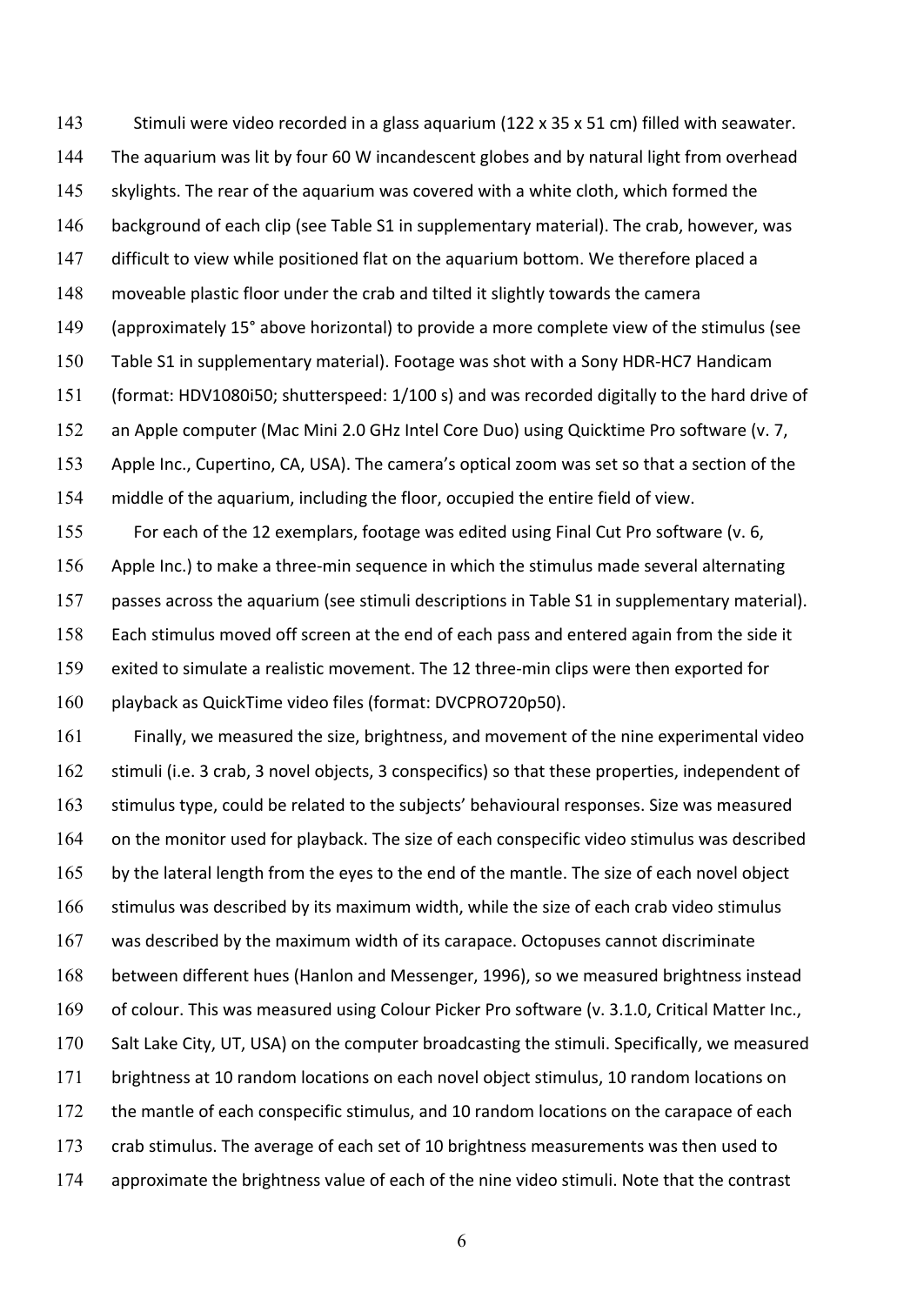143 Stimuli were video recorded in a glass aquarium (122 x 35 x 51 cm) filled with seawater. 144 The aquarium was lit by four 60 W incandescent globes and by natural light from overhead 145 skylights. The rear of the aquarium was covered with a white cloth, which formed the 146 background of each clip (see Table S1 in supplementary material). The crab, however, was 147 difficult to view while positioned flat on the aquarium bottom. We therefore placed a 148 moveable plastic floor under the crab and tilted it slightly towards the camera 149 (approximately 15° above horizontal) to provide a more complete view of the stimulus (see 150 Table S1 in supplementary material). Footage was shot with a Sony HDR-HC7 Handicam 151 (format: HDV1080i50; shutterspeed: 1/100 s) and was recorded digitally to the hard drive of 152 an Apple computer (Mac Mini 2.0 GHz Intel Core Duo) using Quicktime Pro software (v. 7, 153 Apple Inc., Cupertino, CA, USA). The camera's optical zoom was set so that a section of the 154 middle of the aquarium, including the floor, occupied the entire field of view.

155 For each of the 12 exemplars, footage was edited using Final Cut Pro software (v. 6, 156 Apple Inc.) to make a three-min sequence in which the stimulus made several alternating 157 passes across the aquarium (see stimuli descriptions in Table S1 in supplementary material). 158 Each stimulus moved off screen at the end of each pass and entered again from the side it 159 exited to simulate a realistic movement. The 12 three-min clips were then exported for 160 playback as QuickTime video files (format: DVCPRO720p50).

161 Finally, we measured the size, brightness, and movement of the nine experimental video 162 stimuli (i.e. 3 crab, 3 novel objects, 3 conspecifics) so that these properties, independent of 163 stimulus type, could be related to the subjects' behavioural responses. Size was measured 164 on the monitor used for playback. The size of each conspecific video stimulus was described 165 by the lateral length from the eyes to the end of the mantle. The size of each novel object 166 stimulus was described by its maximum width, while the size of each crab video stimulus 167 was described by the maximum width of its carapace. Octopuses cannot discriminate 168 between different hues (Hanlon and Messenger, 1996), so we measured brightness instead 169 of colour. This was measured using Colour Picker Pro software (v. 3.1.0, Critical Matter Inc., 170 Salt Lake City, UT, USA) on the computer broadcasting the stimuli. Specifically, we measured 171 brightness at 10 random locations on each novel object stimulus, 10 random locations on 172 the mantle of each conspecific stimulus, and 10 random locations on the carapace of each 173 crab stimulus. The average of each set of 10 brightness measurements was then used to 174 approximate the brightness value of each of the nine video stimuli. Note that the contrast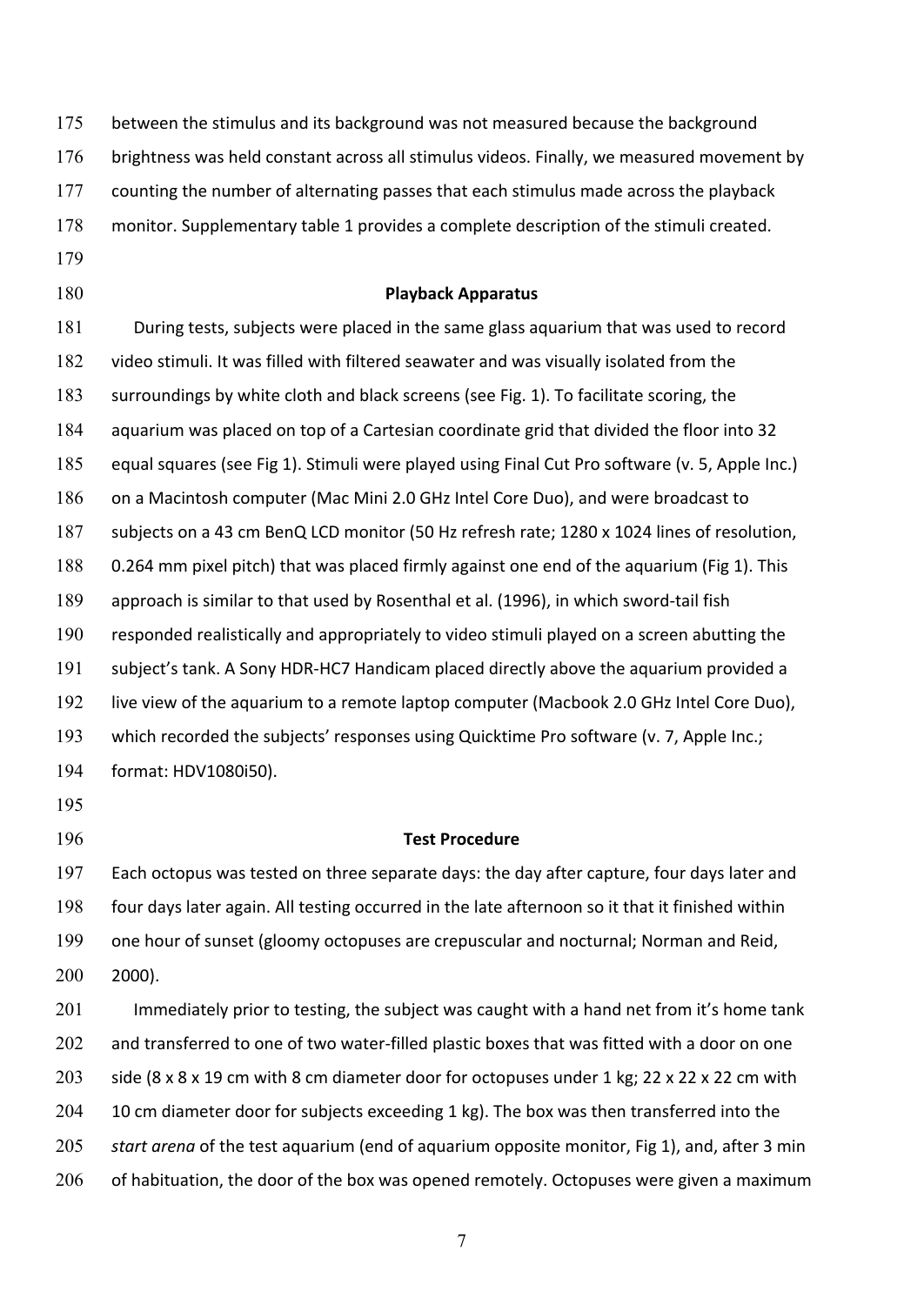| 175 | between the stimulus and its background was not measured because the background                 |
|-----|-------------------------------------------------------------------------------------------------|
| 176 | brightness was held constant across all stimulus videos. Finally, we measured movement by       |
| 177 | counting the number of alternating passes that each stimulus made across the playback           |
| 178 | monitor. Supplementary table 1 provides a complete description of the stimuli created.          |
| 179 |                                                                                                 |
| 180 | <b>Playback Apparatus</b>                                                                       |
| 181 | During tests, subjects were placed in the same glass aquarium that was used to record           |
| 182 | video stimuli. It was filled with filtered seawater and was visually isolated from the          |
| 183 | surroundings by white cloth and black screens (see Fig. 1). To facilitate scoring, the          |
| 184 | aquarium was placed on top of a Cartesian coordinate grid that divided the floor into 32        |
| 185 | equal squares (see Fig 1). Stimuli were played using Final Cut Pro software (v. 5, Apple Inc.)  |
| 186 | on a Macintosh computer (Mac Mini 2.0 GHz Intel Core Duo), and were broadcast to                |
| 187 | subjects on a 43 cm BenQ LCD monitor (50 Hz refresh rate; 1280 x 1024 lines of resolution,      |
| 188 | 0.264 mm pixel pitch) that was placed firmly against one end of the aquarium (Fig 1). This      |
| 189 | approach is similar to that used by Rosenthal et al. (1996), in which sword-tail fish           |
| 190 | responded realistically and appropriately to video stimuli played on a screen abutting the      |
| 191 | subject's tank. A Sony HDR-HC7 Handicam placed directly above the aquarium provided a           |
| 192 | live view of the aquarium to a remote laptop computer (Macbook 2.0 GHz Intel Core Duo),         |
| 193 | which recorded the subjects' responses using Quicktime Pro software (v. 7, Apple Inc.;          |
| 194 | format: HDV1080i50).                                                                            |
| 195 |                                                                                                 |
| 196 | <b>Test Procedure</b>                                                                           |
| 197 | Each octopus was tested on three separate days: the day after capture, four days later and      |
| 198 | four days later again. All testing occurred in the late afternoon so it that it finished within |
| 199 | one hour of sunset (gloomy octopuses are crepuscular and nocturnal; Norman and Reid,            |
| 200 | $2000$ ).                                                                                       |
| 201 | Immediately prior to testing, the subject was caught with a hand net from it's home tank        |
| 202 | and transferred to one of two water-filled plastic boxes that was fitted with a door on one     |
| 203 | side (8 x 8 x 19 cm with 8 cm diameter door for octopuses under 1 kg; 22 x 22 x 22 cm with      |
| 204 | 10 cm diameter door for subjects exceeding 1 kg). The box was then transferred into the         |
| 205 | start arena of the test aquarium (end of aquarium opposite monitor, Fig 1), and, after 3 min    |
| 206 | of habituation, the door of the box was opened remotely. Octopuses were given a maximum         |
|     |                                                                                                 |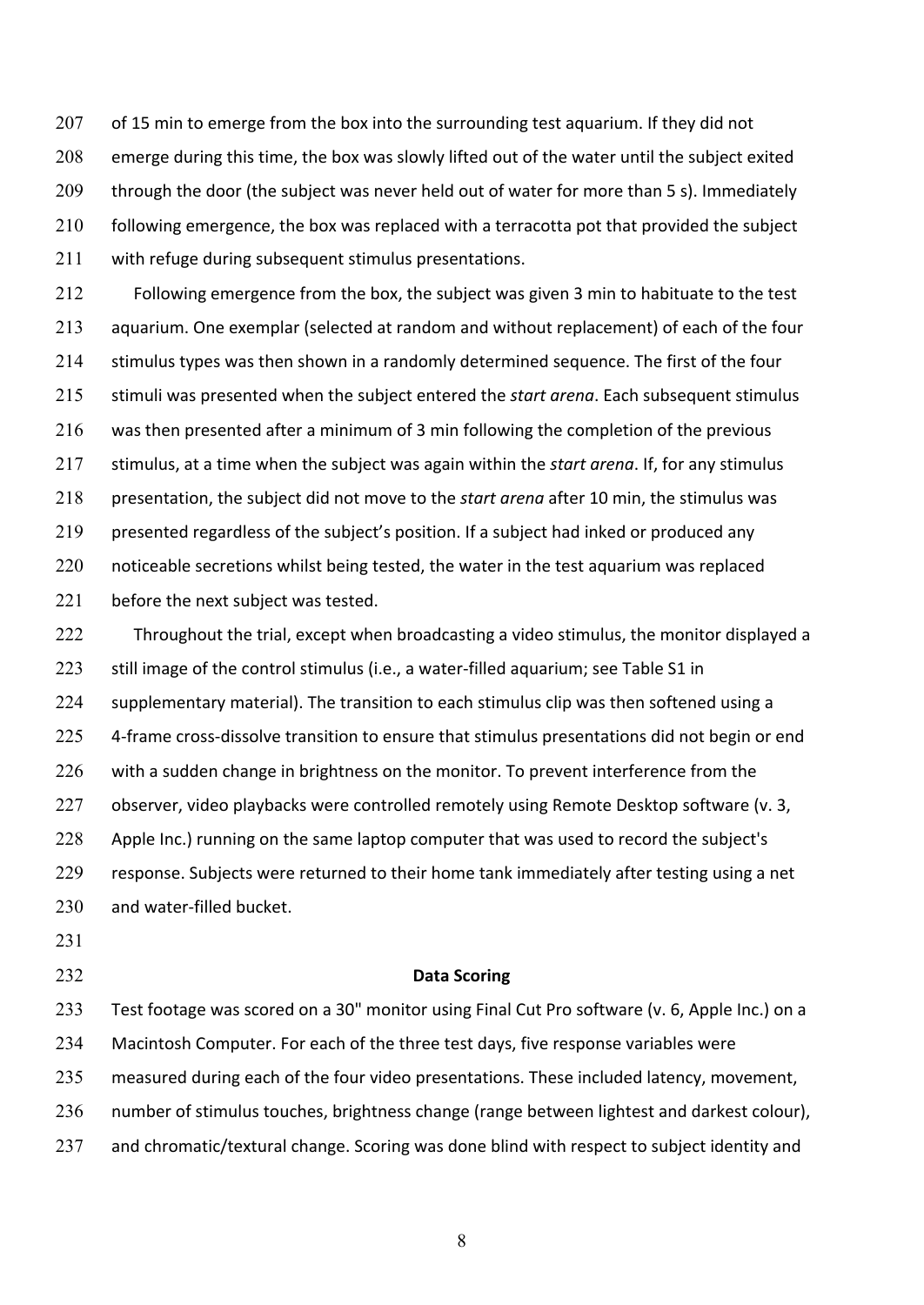207 of 15 min to emerge from the box into the surrounding test aquarium. If they did not 208 emerge during this time, the box was slowly lifted out of the water until the subject exited 209 through the door (the subject was never held out of water for more than 5 s). Immediately  $210$  following emergence, the box was replaced with a terracotta pot that provided the subject 211 with refuge during subsequent stimulus presentations.

212 Following emergence from the box, the subject was given 3 min to habituate to the test 213 aquarium. One exemplar (selected at random and without replacement) of each of the four 214 stimulus types was then shown in a randomly determined sequence. The first of the four 215 stimuli was presented when the subject entered the *start arena*. Each subsequent stimulus  $216$  was then presented after a minimum of 3 min following the completion of the previous 217 stimulus, at a time when the subject was again within the *start arena*. If, for any stimulus 218 presentation, the subject did not move to the *start arena* after 10 min, the stimulus was 219 presented regardless of the subject's position. If a subject had inked or produced any 220 noticeable secretions whilst being tested, the water in the test aquarium was replaced 221 before the next subject was tested.

222 Throughout the trial, except when broadcasting a video stimulus, the monitor displayed a 223 still image of the control stimulus (i.e., a water-filled aquarium; see Table S1 in 224 supplementary material). The transition to each stimulus clip was then softened using a 225 4-frame cross-dissolve transition to ensure that stimulus presentations did not begin or end 226 with a sudden change in brightness on the monitor. To prevent interference from the 227 observer, video playbacks were controlled remotely using Remote Desktop software (v. 3, 228 Apple Inc.) running on the same laptop computer that was used to record the subject's 229 response. Subjects were returned to their home tank immediately after testing using a net 230 and water-filled bucket.

231

#### 232 **Data Scoring**

233 Test footage was scored on a 30" monitor using Final Cut Pro software (v. 6, Apple Inc.) on a 234 Macintosh Computer. For each of the three test days, five response variables were 235 measured during each of the four video presentations. These included latency, movement, 236 number of stimulus touches, brightness change (range between lightest and darkest colour),

237 and chromatic/textural change. Scoring was done blind with respect to subject identity and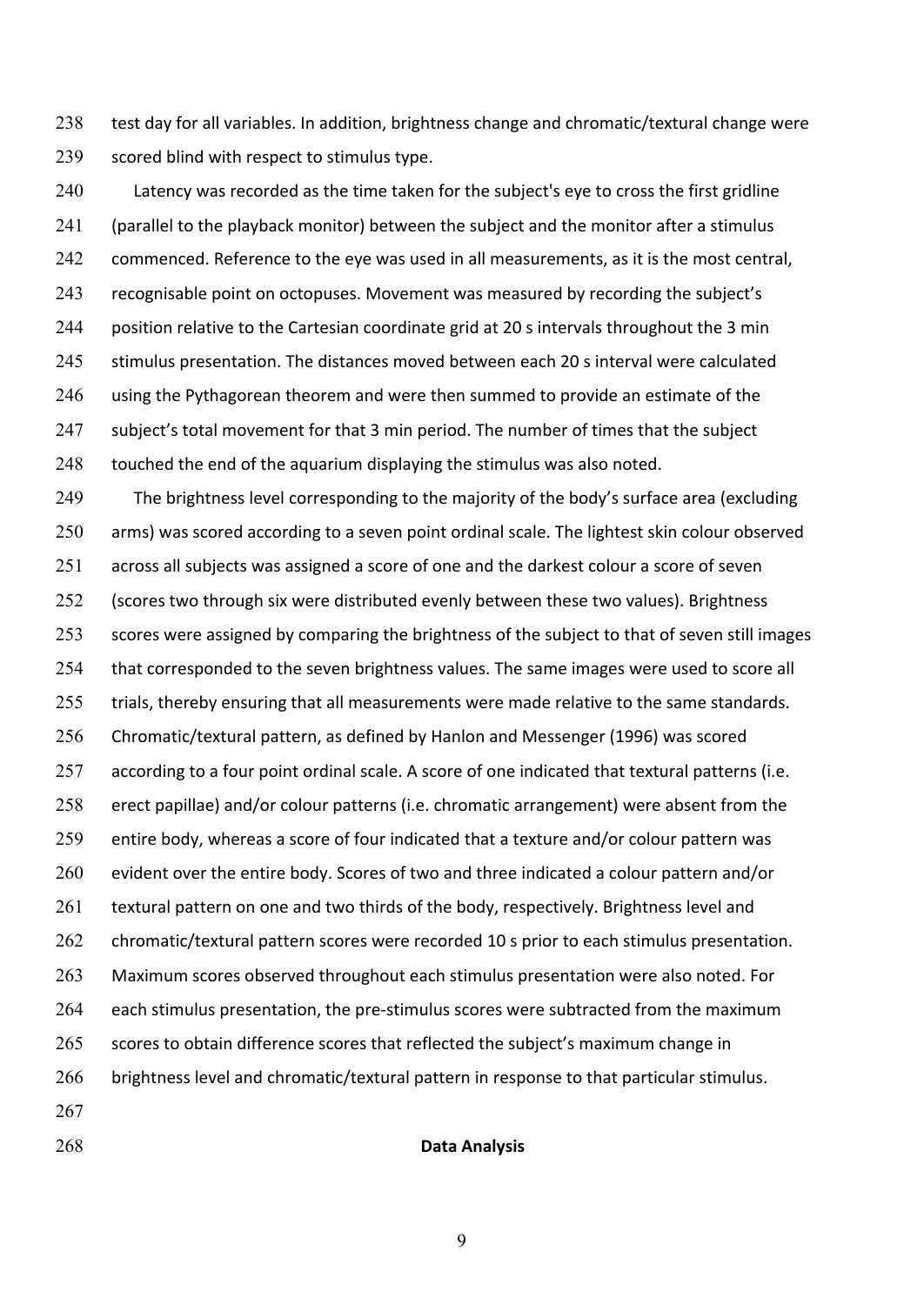238 test day for all variables. In addition, brightness change and chromatic/textural change were 239 scored blind with respect to stimulus type.

240 Latency was recorded as the time taken for the subject's eye to cross the first gridline 241 (parallel to the playback monitor) between the subject and the monitor after a stimulus 242 commenced. Reference to the eye was used in all measurements, as it is the most central, 243 recognisable point on octopuses. Movement was measured by recording the subject's 244 position relative to the Cartesian coordinate grid at 20 s intervals throughout the 3 min 245 stimulus presentation. The distances moved between each 20 s interval were calculated  $246$  using the Pythagorean theorem and were then summed to provide an estimate of the 247 subject's total movement for that 3 min period. The number of times that the subject  $248$  touched the end of the aquarium displaying the stimulus was also noted.

249 The brightness level corresponding to the majority of the body's surface area (excluding 250 arms) was scored according to a seven point ordinal scale. The lightest skin colour observed  $251$  across all subjects was assigned a score of one and the darkest colour a score of seven 252 (scores two through six were distributed evenly between these two values). Brightness 253 scores were assigned by comparing the brightness of the subject to that of seven still images 254 that corresponded to the seven brightness values. The same images were used to score all 255 trials, thereby ensuring that all measurements were made relative to the same standards. 256 Chromatic/textural pattern, as defined by Hanlon and Messenger (1996) was scored 257 according to a four point ordinal scale. A score of one indicated that textural patterns (i.e. 258 erect papillae) and/or colour patterns (i.e. chromatic arrangement) were absent from the 259 entire body, whereas a score of four indicated that a texture and/or colour pattern was 260 evident over the entire body. Scores of two and three indicated a colour pattern and/or 261 textural pattern on one and two thirds of the body, respectively. Brightness level and 262 chromatic/textural pattern scores were recorded 10 s prior to each stimulus presentation. 263 Maximum scores observed throughout each stimulus presentation were also noted. For 264 each stimulus presentation, the pre-stimulus scores were subtracted from the maximum 265 scores to obtain difference scores that reflected the subject's maximum change in 266 brightness level and chromatic/textural pattern in response to that particular stimulus. 267

268 **Data Analysis**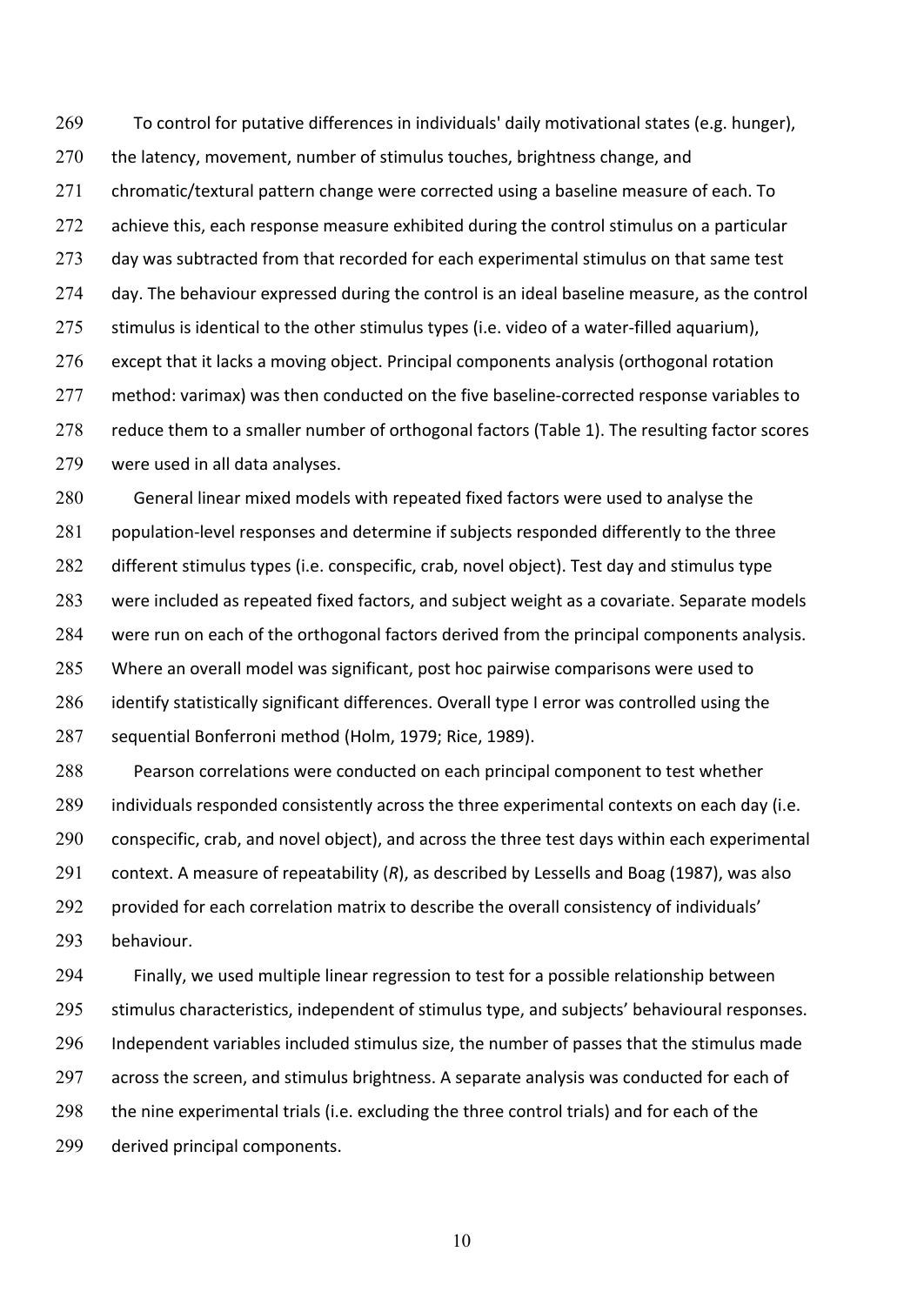269 To control for putative differences in individuals' daily motivational states (e.g. hunger), 270 the latency, movement, number of stimulus touches, brightness change, and 271 chromatic/textural pattern change were corrected using a baseline measure of each. To  $272$  achieve this, each response measure exhibited during the control stimulus on a particular 273 day was subtracted from that recorded for each experimental stimulus on that same test 274 day. The behaviour expressed during the control is an ideal baseline measure, as the control 275 stimulus is identical to the other stimulus types (i.e. video of a water-filled aquarium),  $276$  except that it lacks a moving object. Principal components analysis (orthogonal rotation 277 method: varimax) was then conducted on the five baseline-corrected response variables to 278 reduce them to a smaller number of orthogonal factors (Table 1). The resulting factor scores 279 were used in all data analyses.

280 General linear mixed models with repeated fixed factors were used to analyse the 281 population-level responses and determine if subjects responded differently to the three 282 different stimulus types (i.e. conspecific, crab, novel object). Test day and stimulus type 283 were included as repeated fixed factors, and subject weight as a covariate. Separate models 284 were run on each of the orthogonal factors derived from the principal components analysis. 285 Where an overall model was significant, post hoc pairwise comparisons were used to 286 identify statistically significant differences. Overall type I error was controlled using the 287 sequential Bonferroni method (Holm, 1979; Rice, 1989).

288 Pearson correlations were conducted on each principal component to test whether 289 individuals responded consistently across the three experimental contexts on each day (i.e. 290 conspecific, crab, and novel object), and across the three test days within each experimental 291 context. A measure of repeatability (R), as described by Lessells and Boag (1987), was also 292 provided for each correlation matrix to describe the overall consistency of individuals' 293 behaviour.

294 Finally, we used multiple linear regression to test for a possible relationship between 295 stimulus characteristics, independent of stimulus type, and subjects' behavioural responses. 296 Independent variables included stimulus size, the number of passes that the stimulus made 297 across the screen, and stimulus brightness. A separate analysis was conducted for each of 298 the nine experimental trials (i.e. excluding the three control trials) and for each of the 299 derived principal components.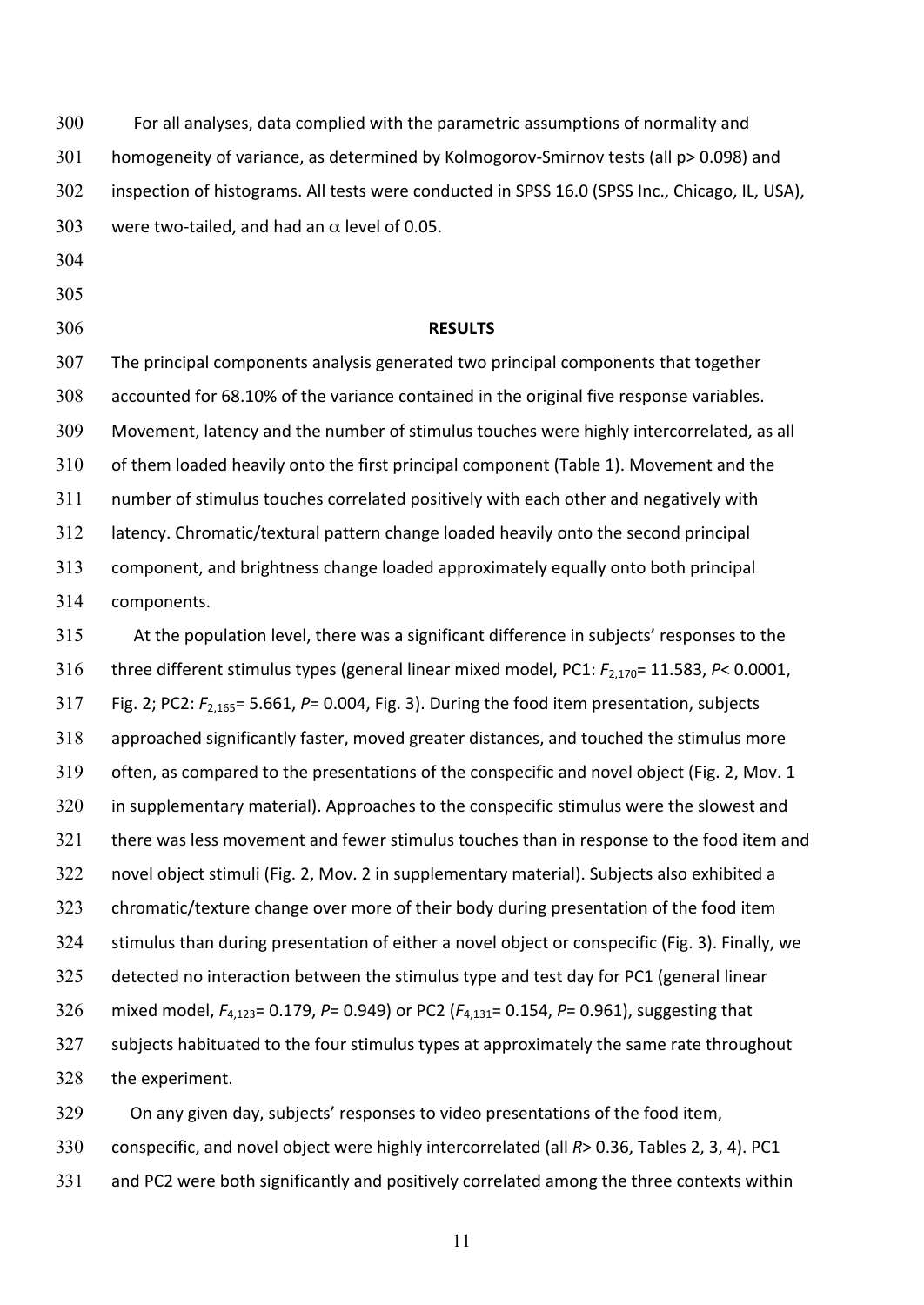300 For all analyses, data complied with the parametric assumptions of normality and 301 homogeneity of variance, as determined by Kolmogorov-Smirnov tests (all p> 0.098) and 302 inspection of histograms. All tests were conducted in SPSS 16.0 (SPSS Inc., Chicago, IL, USA), 303 were two-tailed, and had an  $\alpha$  level of 0.05.

- 304
- 305
- 

## 306 **RESULTS**

307 The principal components analysis generated two principal components that together 308 accounted for 68.10% of the variance contained in the original five response variables. 309 Movement, latency and the number of stimulus touches were highly intercorrelated, as all 310 of them loaded heavily onto the first principal component (Table 1). Movement and the 311 number of stimulus touches correlated positively with each other and negatively with 312 latency. Chromatic/textural pattern change loaded heavily onto the second principal 313 component, and brightness change loaded approximately equally onto both principal 314 components.

315 At the population level, there was a significant difference in subjects' responses to the 316 three different stimulus types (general linear mixed model, PC1:  $F_{2,170}$ = 11.583, P< 0.0001, 317 Fig. 2; PC2:  $F_{2,165}$ = 5.661, P= 0.004, Fig. 3). During the food item presentation, subjects 318 approached significantly faster, moved greater distances, and touched the stimulus more 319 often, as compared to the presentations of the conspecific and novel object (Fig. 2, Mov. 1 320 in supplementary material). Approaches to the conspecific stimulus were the slowest and 321 there was less movement and fewer stimulus touches than in response to the food item and 322 novel object stimuli (Fig. 2, Mov. 2 in supplementary material). Subjects also exhibited a 323 chromatic/texture change over more of their body during presentation of the food item 324 stimulus than during presentation of either a novel object or conspecific (Fig. 3). Finally, we 325 detected no interaction between the stimulus type and test day for PC1 (general linear 326 mixed model,  $F_{4,123}$ = 0.179, P= 0.949) or PC2 ( $F_{4,131}$ = 0.154, P= 0.961), suggesting that 327 subjects habituated to the four stimulus types at approximately the same rate throughout 328 the experiment.

329 On any given day, subjects' responses to video presentations of the food item, 330 conspecific, and novel object were highly intercorrelated (all R> 0.36, Tables 2, 3, 4). PC1 331 and PC2 were both significantly and positively correlated among the three contexts within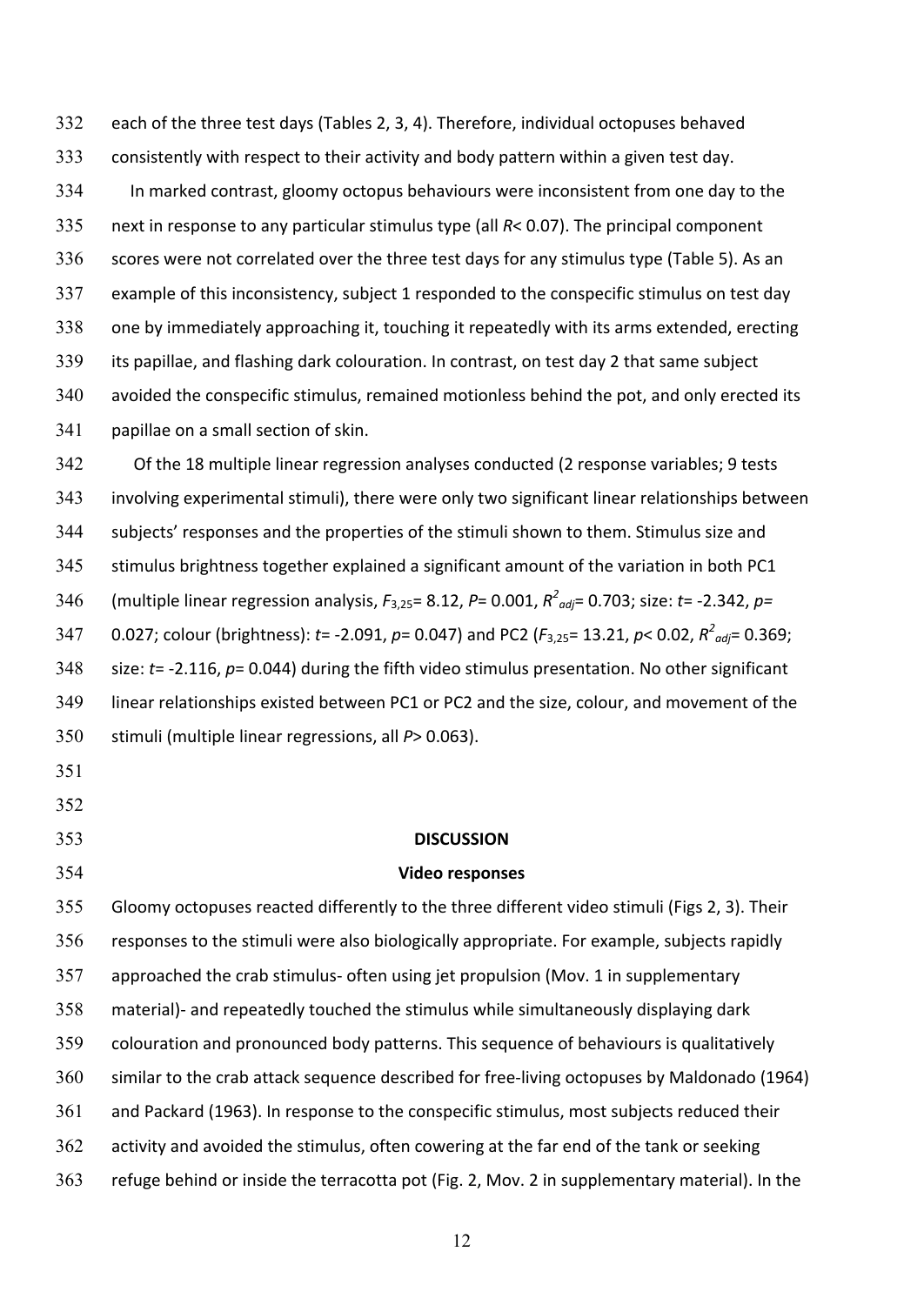332 each of the three test days (Tables 2, 3, 4). Therefore, individual octopuses behaved 333 consistently with respect to their activity and body pattern within a given test day. 334 In marked contrast, gloomy octopus behaviours were inconsistent from one day to the 335 next in response to any particular stimulus type (all R< 0.07). The principal component 336 scores were not correlated over the three test days for any stimulus type (Table 5). As an 337 example of this inconsistency, subject 1 responded to the conspecific stimulus on test day 338 one by immediately approaching it, touching it repeatedly with its arms extended, erecting 339 its papillae, and flashing dark colouration. In contrast, on test day 2 that same subject 340 avoided the conspecific stimulus, remained motionless behind the pot, and only erected its 341 papillae on a small section of skin.

342 Of the 18 multiple linear regression analyses conducted (2 response variables; 9 tests 343 involving experimental stimuli), there were only two significant linear relationships between 344 subjects' responses and the properties of the stimuli shown to them. Stimulus size and 345 stimulus brightness together explained a significant amount of the variation in both PC1 346 (multiple linear regression analysis,  $F_{3,25}$ = 8.12,  $P= 0.001$ ,  $R^2$ <sub>*adj*</sub>= 0.703; size: *t*= -2.342,  $p=$ 347 0.027; colour (brightness):  $t = -2.091$ ,  $p = 0.047$ ) and PC2 ( $F_{3,25} = 13.21$ ,  $p < 0.02$ ,  $R^2_{adi} = 0.369$ ; 348 size: t= -2.116, p= 0.044) during the fifth video stimulus presentation. No other significant 349 linear relationships existed between PC1 or PC2 and the size, colour, and movement of the 350 stimuli (multiple linear regressions, all  $P > 0.063$ ).

- 351
- 352
- 

## 353 **DISCUSSION**

### 354 **Video responses**

355 Gloomy octopuses reacted differently to the three different video stimuli (Figs 2, 3). Their 356 responses to the stimuli were also biologically appropriate. For example, subjects rapidly 357 approached the crab stimulus- often using jet propulsion (Mov. 1 in supplementary 358 material)- and repeatedly touched the stimulus while simultaneously displaying dark 359 colouration and pronounced body patterns. This sequence of behaviours is qualitatively 360 similar to the crab attack sequence described for free-living octopuses by Maldonado (1964) 361 and Packard (1963). In response to the conspecific stimulus, most subjects reduced their 362 activity and avoided the stimulus, often cowering at the far end of the tank or seeking 363 refuge behind or inside the terracotta pot (Fig. 2, Mov. 2 in supplementary material). In the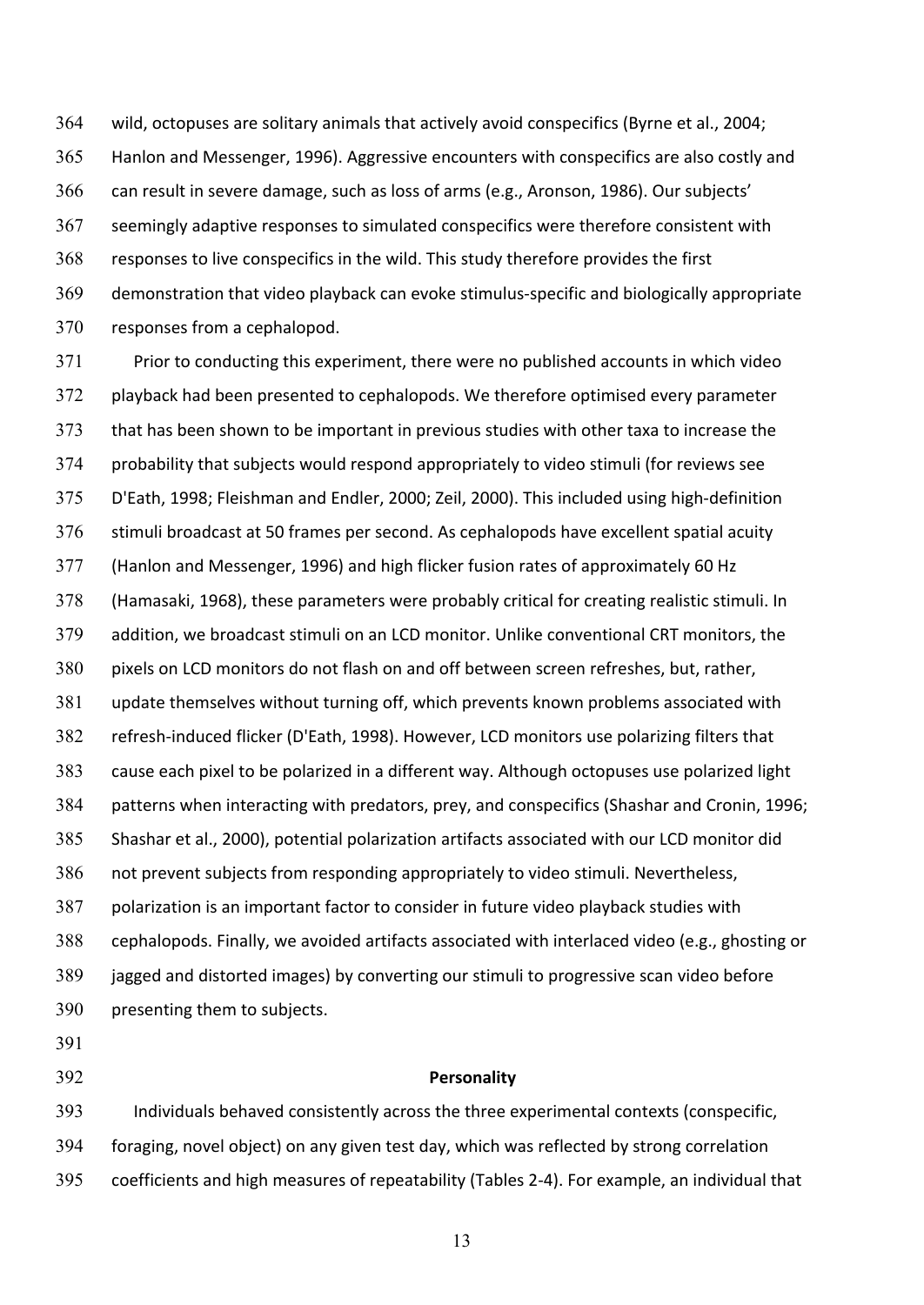364 wild, octopuses are solitary animals that actively avoid conspecifics (Byrne et al., 2004; 365 Hanlon and Messenger, 1996). Aggressive encounters with conspecifics are also costly and 366 can result in severe damage, such as loss of arms (e.g., Aronson, 1986). Our subjects' 367 seemingly adaptive responses to simulated conspecifics were therefore consistent with 368 responses to live conspecifics in the wild. This study therefore provides the first  $369$  demonstration that video playback can evoke stimulus-specific and biologically appropriate 370 responses from a cephalopod.

371 Prior to conducting this experiment, there were no published accounts in which video 372 playback had been presented to cephalopods. We therefore optimised every parameter 373 that has been shown to be important in previous studies with other taxa to increase the 374 probability that subjects would respond appropriately to video stimuli (for reviews see 375 D'Eath, 1998; Fleishman and Endler, 2000; Zeil, 2000). This included using high-definition 376 stimuli broadcast at 50 frames per second. As cephalopods have excellent spatial acuity 377 (Hanlon and Messenger, 1996) and high flicker fusion rates of approximately 60 Hz 378 (Hamasaki, 1968), these parameters were probably critical for creating realistic stimuli. In 379 addition, we broadcast stimuli on an LCD monitor. Unlike conventional CRT monitors, the 380 pixels on LCD monitors do not flash on and off between screen refreshes, but, rather, 381 update themselves without turning off, which prevents known problems associated with 382 refresh-induced flicker (D'Eath, 1998). However, LCD monitors use polarizing filters that 383 cause each pixel to be polarized in a different way. Although octopuses use polarized light 384 patterns when interacting with predators, prey, and conspecifics (Shashar and Cronin, 1996; 385 Shashar et al., 2000), potential polarization artifacts associated with our LCD monitor did 386 not prevent subjects from responding appropriately to video stimuli. Nevertheless, 387 polarization is an important factor to consider in future video playback studies with 388 cephalopods. Finally, we avoided artifacts associated with interlaced video (e.g., ghosting or 389 jagged and distorted images) by converting our stimuli to progressive scan video before 390 presenting them to subjects.

391

### 392 **Personality**

393 Individuals behaved consistently across the three experimental contexts (conspecific, 394 foraging, novel object) on any given test day, which was reflected by strong correlation 395 coefficients and high measures of repeatability (Tables 2-4). For example, an individual that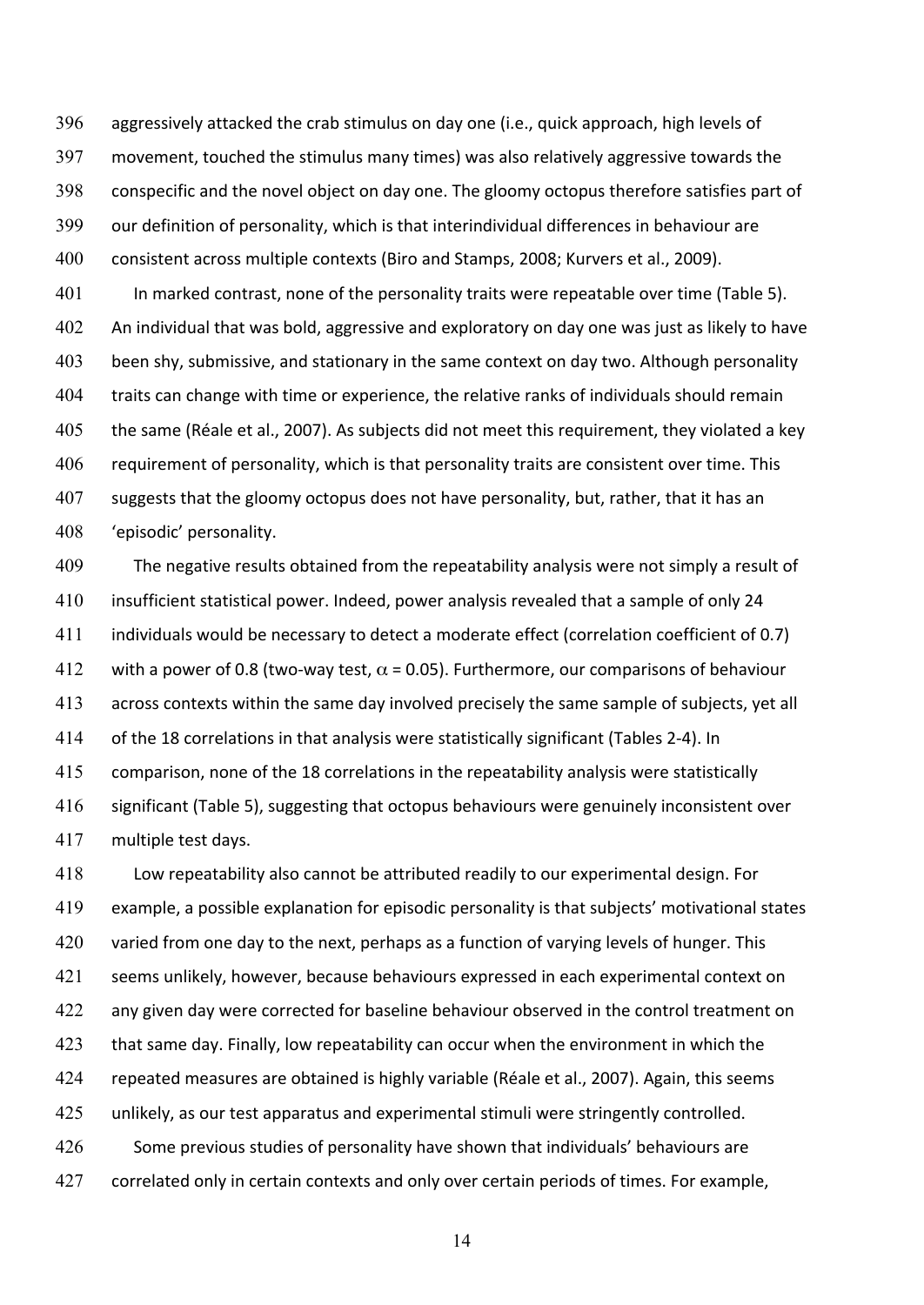396 aggressively attacked the crab stimulus on day one (i.e., quick approach, high levels of 397 movement, touched the stimulus many times) was also relatively aggressive towards the 398 conspecific and the novel object on day one. The gloomy octopus therefore satisfies part of 399 our definition of personality, which is that interindividual differences in behaviour are 400 consistent across multiple contexts (Biro and Stamps, 2008; Kurvers et al., 2009).

401 In marked contrast, none of the personality traits were repeatable over time (Table 5). 402 An individual that was bold, aggressive and exploratory on day one was just as likely to have 403 been shy, submissive, and stationary in the same context on day two. Although personality 404 traits can change with time or experience, the relative ranks of individuals should remain 405 the same (Réale et al., 2007). As subjects did not meet this requirement, they violated a key 406 requirement of personality, which is that personality traits are consistent over time. This 407 suggests that the gloomy octopus does not have personality, but, rather, that it has an 408 'episodic' personality.

409 The negative results obtained from the repeatability analysis were not simply a result of 410 insufficient statistical power. Indeed, power analysis revealed that a sample of only 24 411 individuals would be necessary to detect a moderate effect (correlation coefficient of 0.7) 412 with a power of 0.8 (two-way test,  $\alpha$  = 0.05). Furthermore, our comparisons of behaviour 413 across contexts within the same day involved precisely the same sample of subjects, yet all 414 of the 18 correlations in that analysis were statistically significant (Tables 2-4). In 415 comparison, none of the 18 correlations in the repeatability analysis were statistically 416 significant (Table 5), suggesting that octopus behaviours were genuinely inconsistent over 417 multiple test days.

418 Low repeatability also cannot be attributed readily to our experimental design. For 419 example, a possible explanation for episodic personality is that subjects' motivational states 420 varied from one day to the next, perhaps as a function of varying levels of hunger. This 421 seems unlikely, however, because behaviours expressed in each experimental context on 422 any given day were corrected for baseline behaviour observed in the control treatment on 423 that same day. Finally, low repeatability can occur when the environment in which the 424 repeated measures are obtained is highly variable (Réale et al., 2007). Again, this seems  $425$  unlikely, as our test apparatus and experimental stimuli were stringently controlled. 426 Some previous studies of personality have shown that individuals' behaviours are 427 correlated only in certain contexts and only over certain periods of times. For example,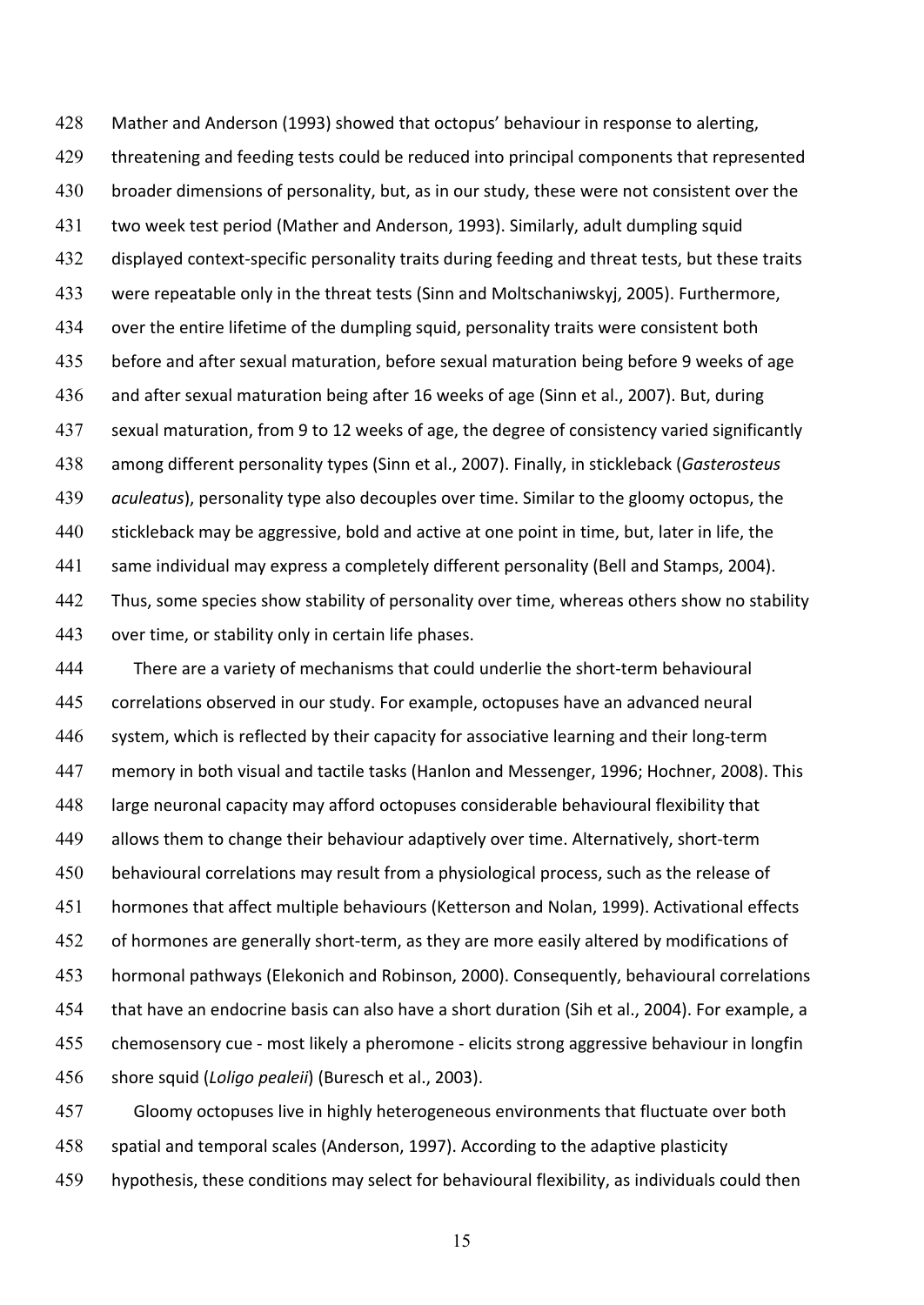428 Mather and Anderson (1993) showed that octopus' behaviour in response to alerting, 429 threatening and feeding tests could be reduced into principal components that represented 430 broader dimensions of personality, but, as in our study, these were not consistent over the 431 two week test period (Mather and Anderson, 1993). Similarly, adult dumpling squid 432 displayed context-specific personality traits during feeding and threat tests, but these traits 433 were repeatable only in the threat tests (Sinn and Moltschaniwskyj, 2005). Furthermore, 434 over the entire lifetime of the dumpling squid, personality traits were consistent both 435 before and after sexual maturation, before sexual maturation being before 9 weeks of age 436 and after sexual maturation being after 16 weeks of age (Sinn et al., 2007). But, during 437 sexual maturation, from 9 to 12 weeks of age, the degree of consistency varied significantly 438 among different personality types (Sinn et al., 2007). Finally, in stickleback (Gasterosteus 439 *aculeatus*), personality type also decouples over time. Similar to the gloomy octopus, the 440 stickleback may be aggressive, bold and active at one point in time, but, later in life, the 441 same individual may express a completely different personality (Bell and Stamps, 2004). 442 Thus, some species show stability of personality over time, whereas others show no stability 443 over time, or stability only in certain life phases.

444 There are a variety of mechanisms that could underlie the short-term behavioural 445 correlations observed in our study. For example, octopuses have an advanced neural 446 system, which is reflected by their capacity for associative learning and their long-term 447 memory in both visual and tactile tasks (Hanlon and Messenger, 1996; Hochner, 2008). This 448 large neuronal capacity may afford octopuses considerable behavioural flexibility that 449 allows them to change their behaviour adaptively over time. Alternatively, short-term 450 behavioural correlations may result from a physiological process, such as the release of 451 hormones that affect multiple behaviours (Ketterson and Nolan, 1999). Activational effects 452 of hormones are generally short-term, as they are more easily altered by modifications of 453 hormonal pathways (Elekonich and Robinson, 2000). Consequently, behavioural correlations 454 that have an endocrine basis can also have a short duration (Sih et al., 2004). For example, a 455 chemosensory cue - most likely a pheromone - elicits strong aggressive behaviour in longfin 456 shore squid (*Loligo pealeii*) (Buresch et al., 2003).

457 Gloomy octopuses live in highly heterogeneous environments that fluctuate over both 458 spatial and temporal scales (Anderson, 1997). According to the adaptive plasticity 459 hypothesis, these conditions may select for behavioural flexibility, as individuals could then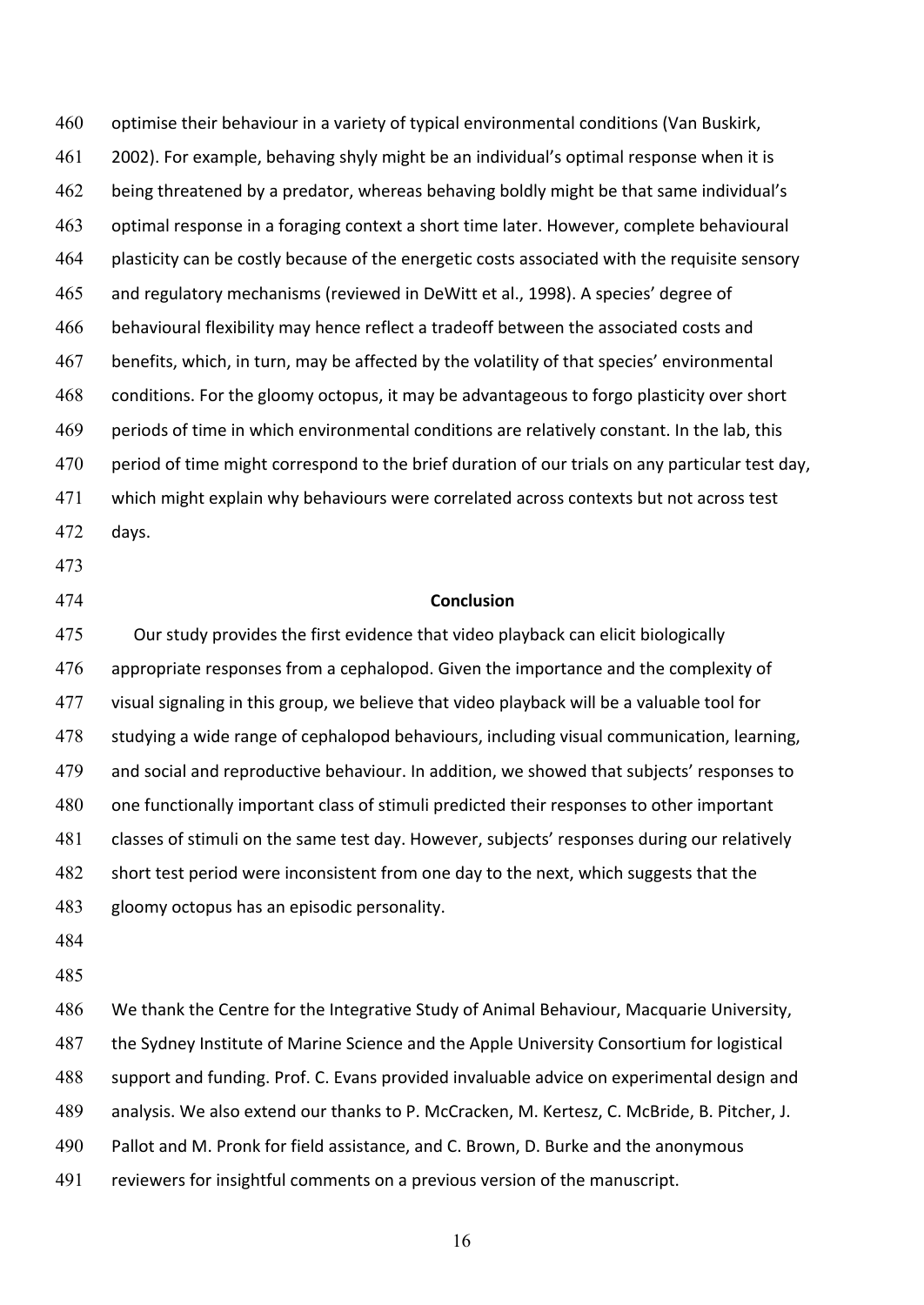460 optimise their behaviour in a variety of typical environmental conditions (Van Buskirk, 461 2002). For example, behaving shyly might be an individual's optimal response when it is 462 being threatened by a predator, whereas behaving boldly might be that same individual's 463 optimal response in a foraging context a short time later. However, complete behavioural 464 plasticity can be costly because of the energetic costs associated with the requisite sensory 465 and regulatory mechanisms (reviewed in DeWitt et al., 1998). A species' degree of 466 behavioural flexibility may hence reflect a tradeoff between the associated costs and 467 benefits, which, in turn, may be affected by the volatility of that species' environmental 468 conditions. For the gloomy octopus, it may be advantageous to forgo plasticity over short 469 periods of time in which environmental conditions are relatively constant. In the lab, this 470 period of time might correspond to the brief duration of our trials on any particular test day, 471 which might explain why behaviours were correlated across contexts but not across test 472 days.

- 473
- 

### 474 **Conclusion**

475 Our study provides the first evidence that video playback can elicit biologically 476 appropriate responses from a cephalopod. Given the importance and the complexity of 477 visual signaling in this group, we believe that video playback will be a valuable tool for 478 studying a wide range of cephalopod behaviours, including visual communication, learning, 479 and social and reproductive behaviour. In addition, we showed that subjects' responses to 480 one functionally important class of stimuli predicted their responses to other important 481 classes of stimuli on the same test day. However, subjects' responses during our relatively 482 short test period were inconsistent from one day to the next, which suggests that the 483 gloomy octopus has an episodic personality.

484

485

486 We thank the Centre for the Integrative Study of Animal Behaviour, Macquarie University, 487 the Sydney Institute of Marine Science and the Apple University Consortium for logistical 488 support and funding. Prof. C. Evans provided invaluable advice on experimental design and 489 analysis. We also extend our thanks to P. McCracken, M. Kertesz, C. McBride, B. Pitcher, J. 490 Pallot and M. Pronk for field assistance, and C. Brown, D. Burke and the anonymous 491 reviewers for insightful comments on a previous version of the manuscript.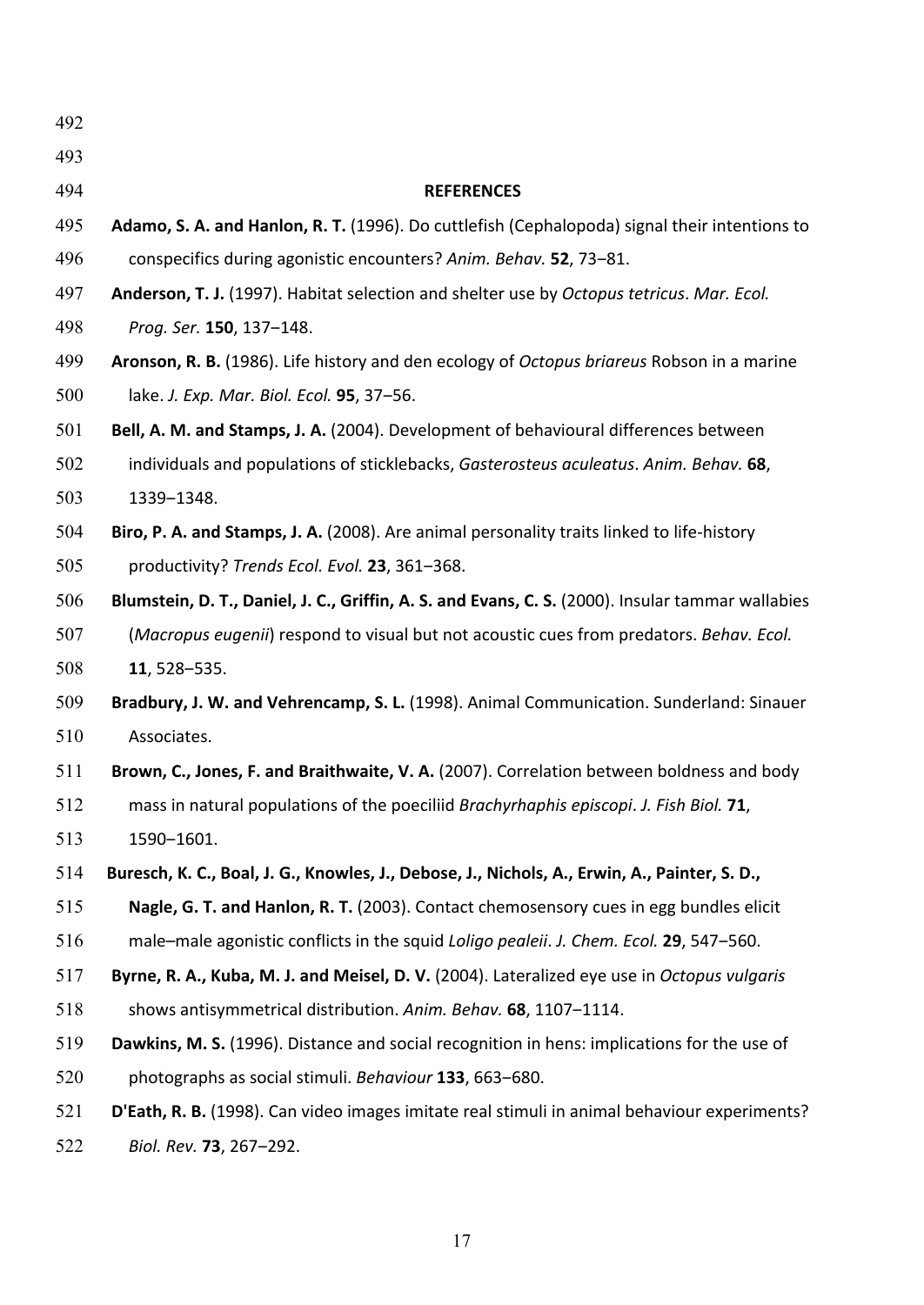| 492 |                                                                                                   |
|-----|---------------------------------------------------------------------------------------------------|
| 493 |                                                                                                   |
| 494 | <b>REFERENCES</b>                                                                                 |
| 495 | Adamo, S. A. and Hanlon, R. T. (1996). Do cuttlefish (Cephalopoda) signal their intentions to     |
| 496 | conspecifics during agonistic encounters? Anim. Behav. 52, 73-81.                                 |
| 497 | Anderson, T. J. (1997). Habitat selection and shelter use by Octopus tetricus. Mar. Ecol.         |
| 498 | Prog. Ser. 150, 137-148.                                                                          |
| 499 | Aronson, R. B. (1986). Life history and den ecology of Octopus briareus Robson in a marine        |
| 500 | lake. J. Exp. Mar. Biol. Ecol. 95, 37-56.                                                         |
| 501 | Bell, A. M. and Stamps, J. A. (2004). Development of behavioural differences between              |
| 502 | individuals and populations of sticklebacks, Gasterosteus aculeatus. Anim. Behav. 68,             |
| 503 | 1339-1348.                                                                                        |
| 504 | Biro, P. A. and Stamps, J. A. (2008). Are animal personality traits linked to life-history        |
| 505 | productivity? Trends Ecol. Evol. 23, 361-368.                                                     |
| 506 | Blumstein, D. T., Daniel, J. C., Griffin, A. S. and Evans, C. S. (2000). Insular tammar wallabies |
| 507 | (Macropus eugenii) respond to visual but not acoustic cues from predators. Behav. Ecol.           |
| 508 | 11, 528-535.                                                                                      |
| 509 | Bradbury, J. W. and Vehrencamp, S. L. (1998). Animal Communication. Sunderland: Sinauer           |
| 510 | Associates.                                                                                       |
| 511 | Brown, C., Jones, F. and Braithwaite, V. A. (2007). Correlation between boldness and body         |
| 512 | mass in natural populations of the poeciliid Brachyrhaphis episcopi. J. Fish Biol. 71             |
| 513 | 1590-1601.                                                                                        |
| 514 | Buresch, K. C., Boal, J. G., Knowles, J., Debose, J., Nichols, A., Erwin, A., Painter, S. D.,     |
| 515 | Nagle, G. T. and Hanlon, R. T. (2003). Contact chemosensory cues in egg bundles elicit            |
| 516 | male–male agonistic conflicts in the squid Loligo pealeii. J. Chem. Ecol. 29, 547–560.            |
| 517 | Byrne, R. A., Kuba, M. J. and Meisel, D. V. (2004). Lateralized eye use in Octopus vulgaris       |
| 518 | shows antisymmetrical distribution. Anim. Behav. 68, 1107-1114.                                   |
| 519 | Dawkins, M. S. (1996). Distance and social recognition in hens: implications for the use of       |
| 520 | photographs as social stimuli. Behaviour 133, 663-680.                                            |
| 521 | D'Eath, R. B. (1998). Can video images imitate real stimuli in animal behaviour experiments?      |
| 522 | Biol. Rev. 73, 267-292.                                                                           |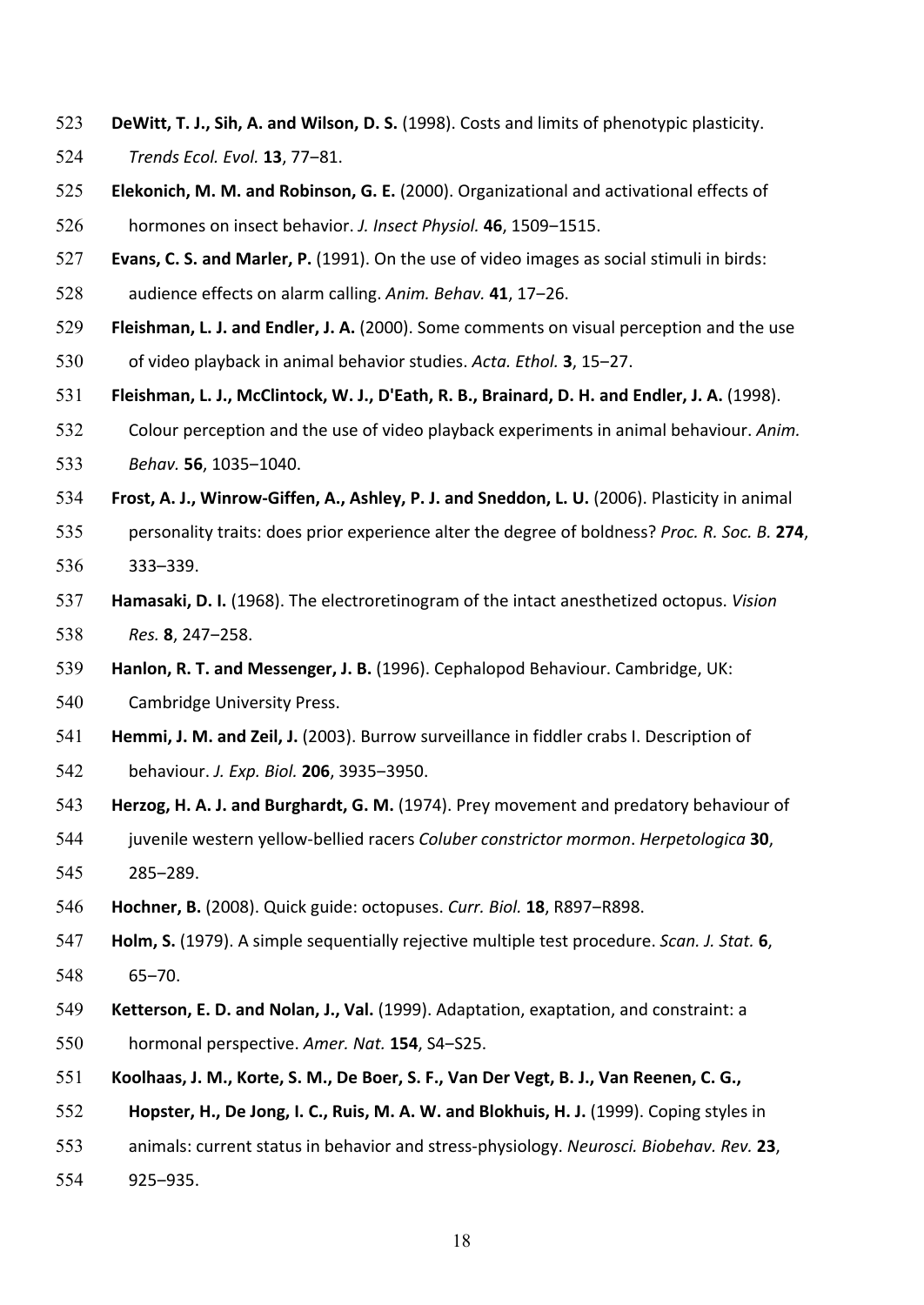- 523 **DeWitt, T. J., Sih, A. and Wilson, D. S.** (1998). Costs and limits of phenotypic plasticity.
- 524 *Trends Ecol. Evol.* **13**, 77-81.
- 525 **Elekonich, M. M. and Robinson, G. E.** (2000). Organizational and activational effects of 526 hormones on insect behavior. *J. Insect Physiol.* **46**, 1509–1515.
- 527 **Evans, C. S. and Marler, P.** (1991). On the use of video images as social stimuli in birds: 528 audience effects on alarm calling. Anim. Behav. **41**, 17–26.
- 529 **Fleishman, L. J. and Endler, J. A.** (2000). Some comments on visual perception and the use 530 of video playback in animal behavior studies. *Acta. Ethol.* **3**, 15–27.
- 531 Fleishman, L. J., McClintock, W. J., D'Eath, R. B., Brainard, D. H. and Endler, J. A. (1998).
- 532 Colour perception and the use of video playback experiments in animal behaviour. Anim. 533 *Behav.* **56**, 1035-1040.
- 534 **Frost, A. J., Winrow-Giffen, A., Ashley, P. J. and Sneddon, L. U.** (2006). Plasticity in animal
- 535 personality traits: does prior experience alter the degree of boldness? *Proc. R. Soc. B.* 274, 536 333–339.
- 537 **Hamasaki, D. I.** (1968). The electroretinogram of the intact anesthetized octopus. *Vision* 538 Res. **8**, 247–258.
- 539 **Hanlon, R. T. and Messenger, J. B.** (1996). Cephalopod Behaviour. Cambridge, UK:
- 540 Cambridge University Press.
- 541 Hemmi, J. M. and Zeil, J. (2003). Burrow surveillance in fiddler crabs I. Description of
- 542 behaviour. *J. Exp. Biol.* **206**, 3935-3950.
- 543 **Herzog, H. A. J. and Burghardt, G. M.** (1974). Prey movement and predatory behaviour of
- 544 juvenile western yellow-bellied racers *Coluber constrictor mormon*. *Herpetologica* 30, 545 285-289.
- 546 **Hochner, B.** (2008). Quick guide: octopuses. *Curr. Biol.* **18**, R897–R898.
- 547 **Holm, S.** (1979). A simple sequentially rejective multiple test procedure. *Scan. J. Stat.* **6**, 548 65‒70.
- 549 **Ketterson, E. D. and Nolan, J., Val.** (1999). Adaptation, exaptation, and constraint: a 550 hormonal perspective. Amer. Nat. 154, S4-S25.
- 551 Koolhaas, J. M., Korte, S. M., De Boer, S. F., Van Der Vegt, B. J., Van Reenen, C. G.,
- 552 **Hopster, H., De Jong, I. C., Ruis, M. A. W. and Blokhuis, H. J.** (1999). Coping styles in
- 553 animals: current status in behavior and stress-physiology. *Neurosci. Biobehav. Rev.* 23,
- 554 925‒935.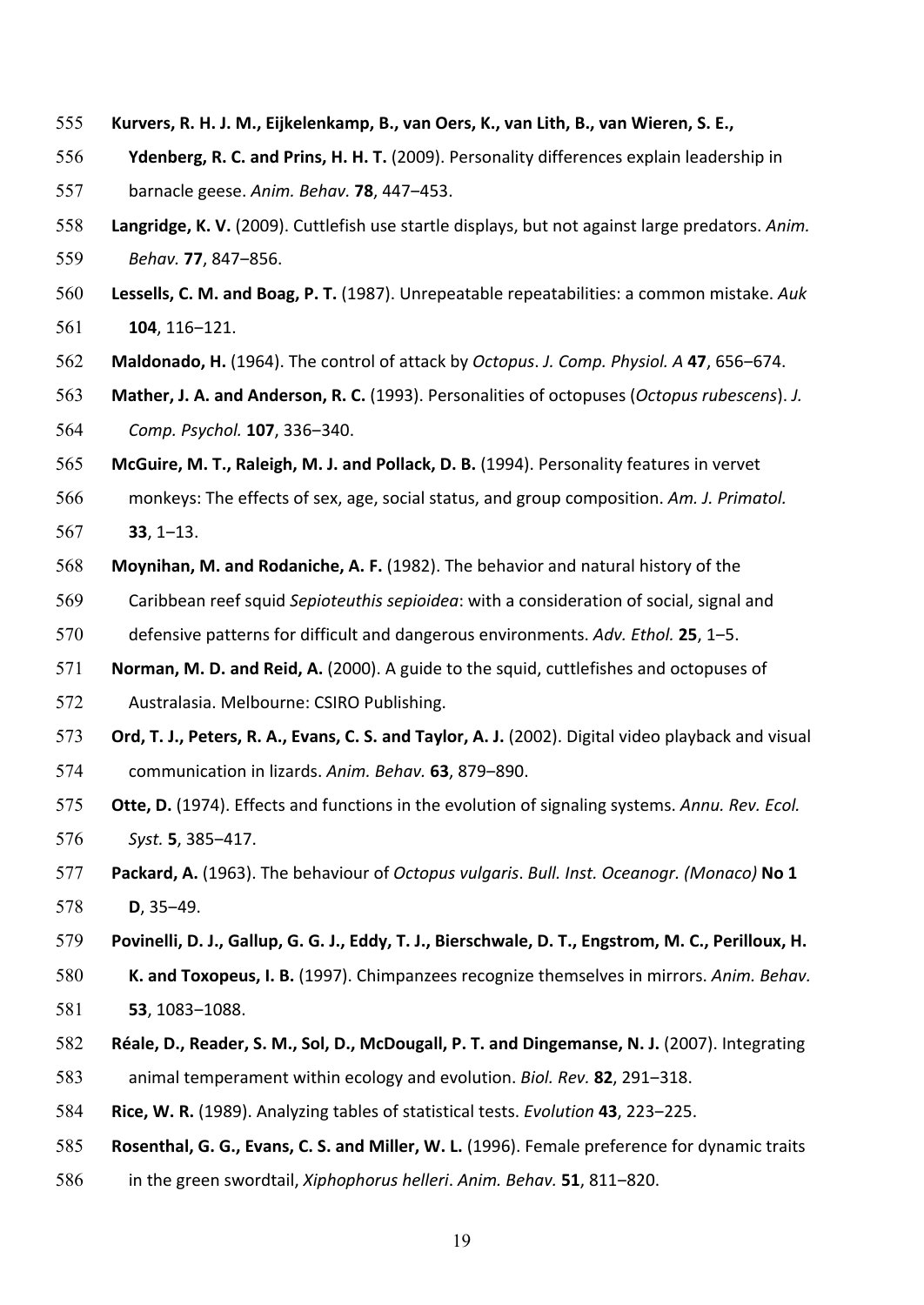- 555 **Kurvers, R. H. J. M., Eijkelenkamp, B., van Oers, K., van Lith, B., van Wieren, S. E.,**
- 556 **Ydenberg, R. C. and Prins, H. H. T.** (2009). Personality differences explain leadership in
- 557 barnacle geese. *Anim. Behav.* **78**, 447‒453.
- 558 Langridge, K. V. (2009). Cuttlefish use startle displays, but not against large predators. Anim. 559 *Behav.* **77**, 847‒856.
- 560 Lessells, C. M. and Boag, P. T. (1987). Unrepeatable repeatabilities: a common mistake. Auk 561 **104**, 116-121.
- 562 Maldonado, H. (1964). The control of attack by *Octopus. J. Comp. Physiol.* A 47, 656–674.
- 563 **Mather, J. A. and Anderson, R. C.** (1993). Personalities of octopuses (*Octopus rubescens*). *J.* 564 *Comp. Psychol.* **107**, 336‒340.
- 565 McGuire, M. T., Raleigh, M. J. and Pollack, D. B. (1994). Personality features in vervet
- 566 monkeys: The effects of sex, age, social status, and group composition. Am. J. Primatol. 567 **33**, 1‒13.
- 568 Moynihan, M. and Rodaniche, A. F. (1982). The behavior and natural history of the
- 569 Caribbean reef squid Sepioteuthis sepioidea: with a consideration of social, signal and 570 defensive patterns for difficult and dangerous environments. Adv. *Ethol.* 25, 1–5.
- 571 **Norman, M. D. and Reid, A.** (2000). A guide to the squid, cuttlefishes and octopuses of 572 Australasia. Melbourne: CSIRO Publishing.
- 573 Ord, T. J., Peters, R. A., Evans, C. S. and Taylor, A. J. (2002). Digital video playback and visual 574 communication in lizards. Anim. Behav. **63**, 879–890.
- 575 Otte, D. (1974). Effects and functions in the evolution of signaling systems. Annu. Rev. Ecol. 576 *Syst.* **5**, 385–417.
- 577 **Packard, A.** (1963). The behaviour of *Octopus vulgaris. Bull. Inst. Oceanogr. (Monaco)* No 1 578 **D**, 35–49.
- 579 Povinelli, D. J., Gallup, G. G. J., Eddy, T. J., Bierschwale, D. T., Engstrom, M. C., Perilloux, H.
- 580 K. and Toxopeus, I. B. (1997). Chimpanzees recognize themselves in mirrors. Anim. Behav. 581 **53**, 1083–1088.
- 582 Réale, D., Reader, S. M., Sol, D., McDougall, P. T. and Dingemanse, N. J. (2007). Integrating 583 animal temperament within ecology and evolution. *Biol. Rev.* 82, 291–318.
- 584 Rice, W. R. (1989). Analyzing tables of statistical tests. *Evolution* 43, 223–225.
- 585 **Rosenthal, G. G., Evans, C. S. and Miller, W. L.** (1996). Female preference for dynamic traits
- 586 in the green swordtail, *Xiphophorus helleri*. Anim. Behav. **51**, 811–820.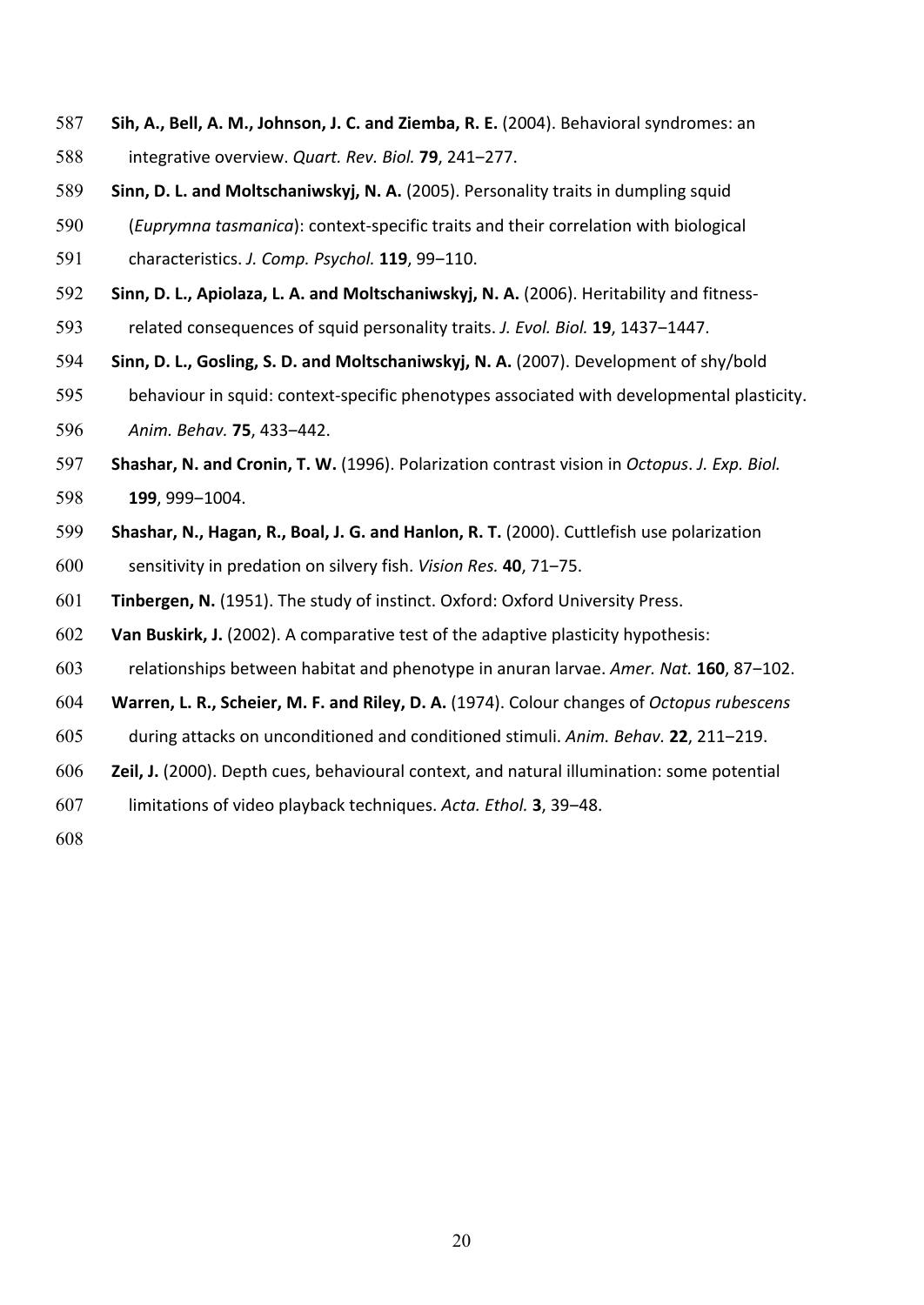- **Sih, A., Bell, A. M., Johnson, J. C. and Ziemba, R. E.** (2004). Behavioral syndromes: an 588 integrative overview. Quart. Rev. Biol. **79**, 241–277.
- **Sinn, D. L. and Moltschaniwskyj, N. A.** (2005). Personality traits in dumpling squid
- 590 (*Euprymna tasmanica*): context-specific traits and their correlation with biological
- characteristics. *J. Comp. Psychol.* **119**, 99‒110.
- **Sinn, D. L., Apiolaza, L. A. and Moltschaniwskyj, N. A.** (2006). Heritability and fitness-
- 593 related consequences of squid personality traits. *J. Evol. Biol.* **19**, 1437–1447.
- **Sinn, D. L., Gosling, S. D. and Moltschaniwskyj, N. A.** (2007). Development of shy/bold
- 595 behaviour in squid: context-specific phenotypes associated with developmental plasticity.
- *Anim. Behav.* **75**, 433‒442.
- **Shashar, N. and Cronin, T. W.** (1996). Polarization contrast vision in *Octopus. J. Exp. Biol.* **199**, 999-1004.
- 599 Shashar, N., Hagan, R., Boal, J. G. and Hanlon, R. T. (2000). Cuttlefish use polarization
- 600 sensitivity in predation on silvery fish. *Vision Res.* **40**, 71–75.
- **Tinbergen, N.** (1951). The study of instinct. Oxford: Oxford University Press.
- **Van Buskirk, J.** (2002). A comparative test of the adaptive plasticity hypothesis:
- 603 relationships between habitat and phenotype in anuran larvae. Amer. Nat. 160, 87–102.
- **Warren, L. R., Scheier, M. F. and Riley, D. A.** (1974). Colour changes of *Octopus rubescens*
- 605 during attacks on unconditioned and conditioned stimuli. Anim. Behav. 22, 211–219.
- **Zeil, J.** (2000). Depth cues, behavioural context, and natural illumination: some potential
- limitations of video playback techniques. *Acta. Ethol.* **3**, 39‒48.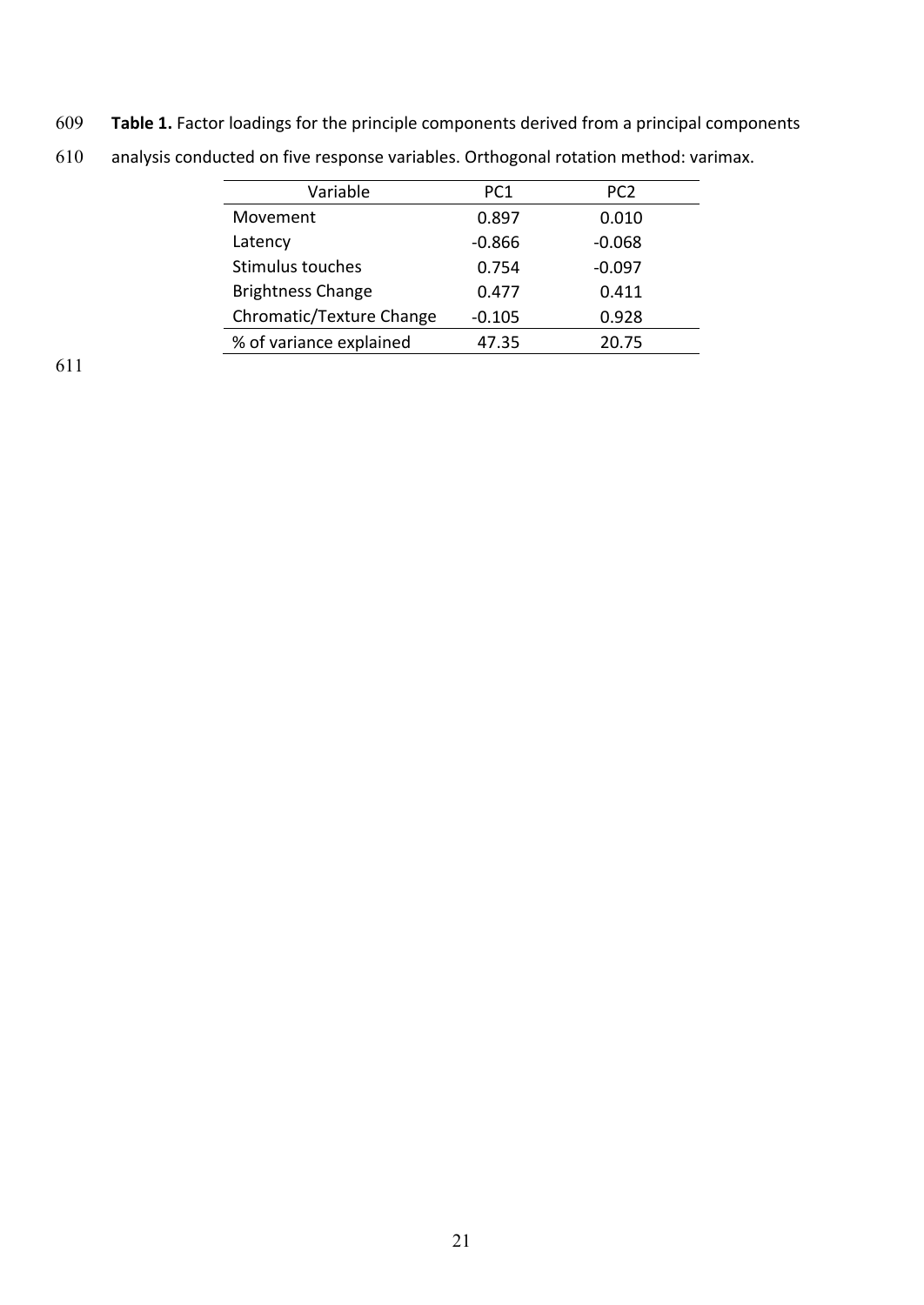609 Table 1. Factor loadings for the principle components derived from a principal components

| Variable                 | PC <sub>1</sub> | PC <sub>2</sub> |
|--------------------------|-----------------|-----------------|
| Movement                 | 0.897           | 0.010           |
| Latency                  | $-0.866$        | $-0.068$        |
| Stimulus touches         | 0.754           | $-0.097$        |
| <b>Brightness Change</b> | 0.477           | 0.411           |
| Chromatic/Texture Change | $-0.105$        | 0.928           |
| % of variance explained  | 47.35           | 20.75           |
|                          |                 |                 |

610 analysis conducted on five response variables. Orthogonal rotation method: varimax.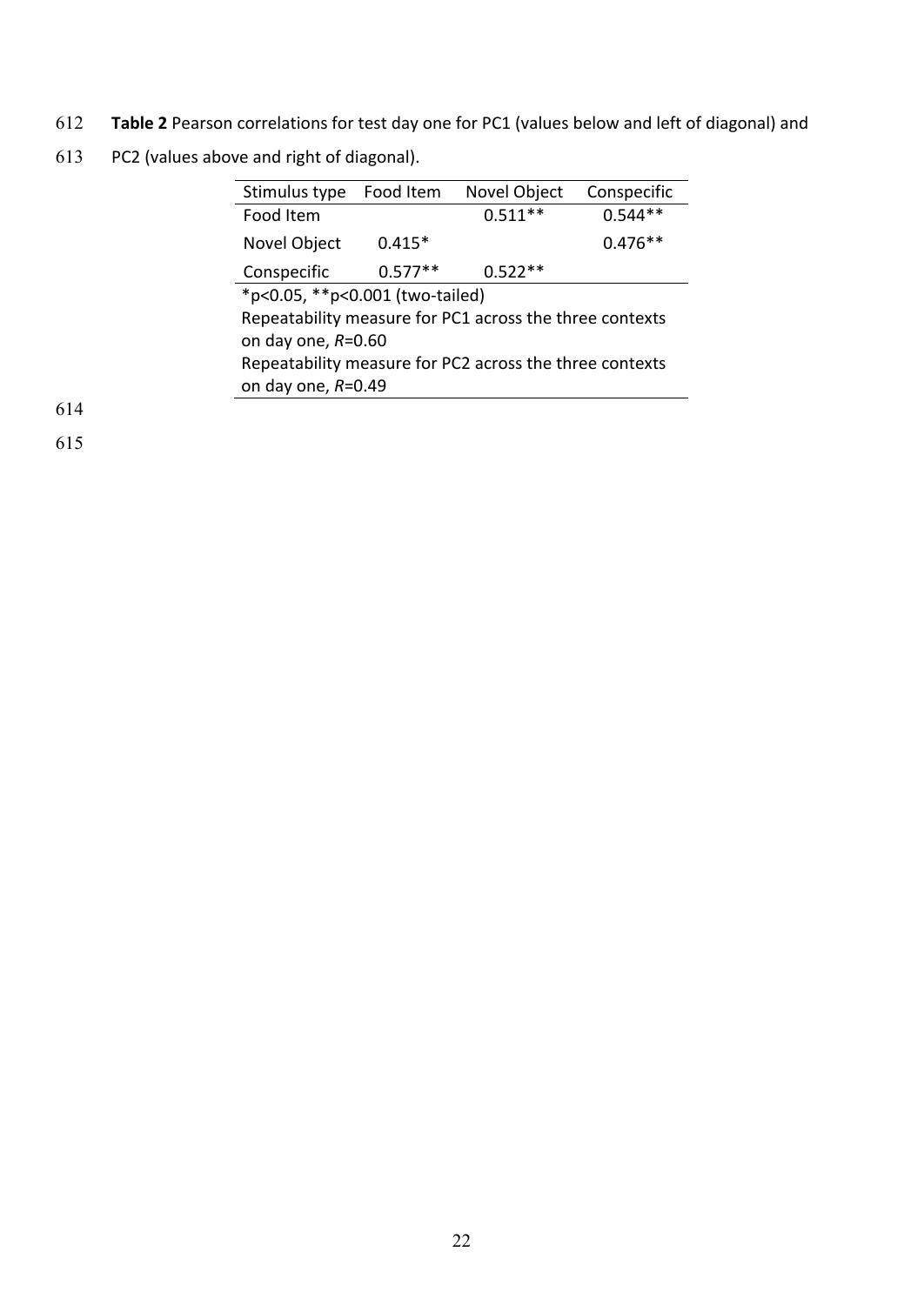- 612 Table 2 Pearson correlations for test day one for PC1 (values below and left of diagonal) and
- 613 PC2 (values above and right of diagonal).

| Stimulus type                                           | Food Item | Novel Object | Conspecific |  |
|---------------------------------------------------------|-----------|--------------|-------------|--|
| Food Item                                               |           | $0.511**$    | $0.544**$   |  |
| Novel Object                                            | $0.415*$  |              | $0.476**$   |  |
| Conspecific                                             | $0.577**$ | $0.522**$    |             |  |
| *p<0.05, **p<0.001 (two-tailed)                         |           |              |             |  |
| Repeatability measure for PC1 across the three contexts |           |              |             |  |
| on day one, $R=0.60$                                    |           |              |             |  |
| Repeatability measure for PC2 across the three contexts |           |              |             |  |
| on day one, $R=0.49$                                    |           |              |             |  |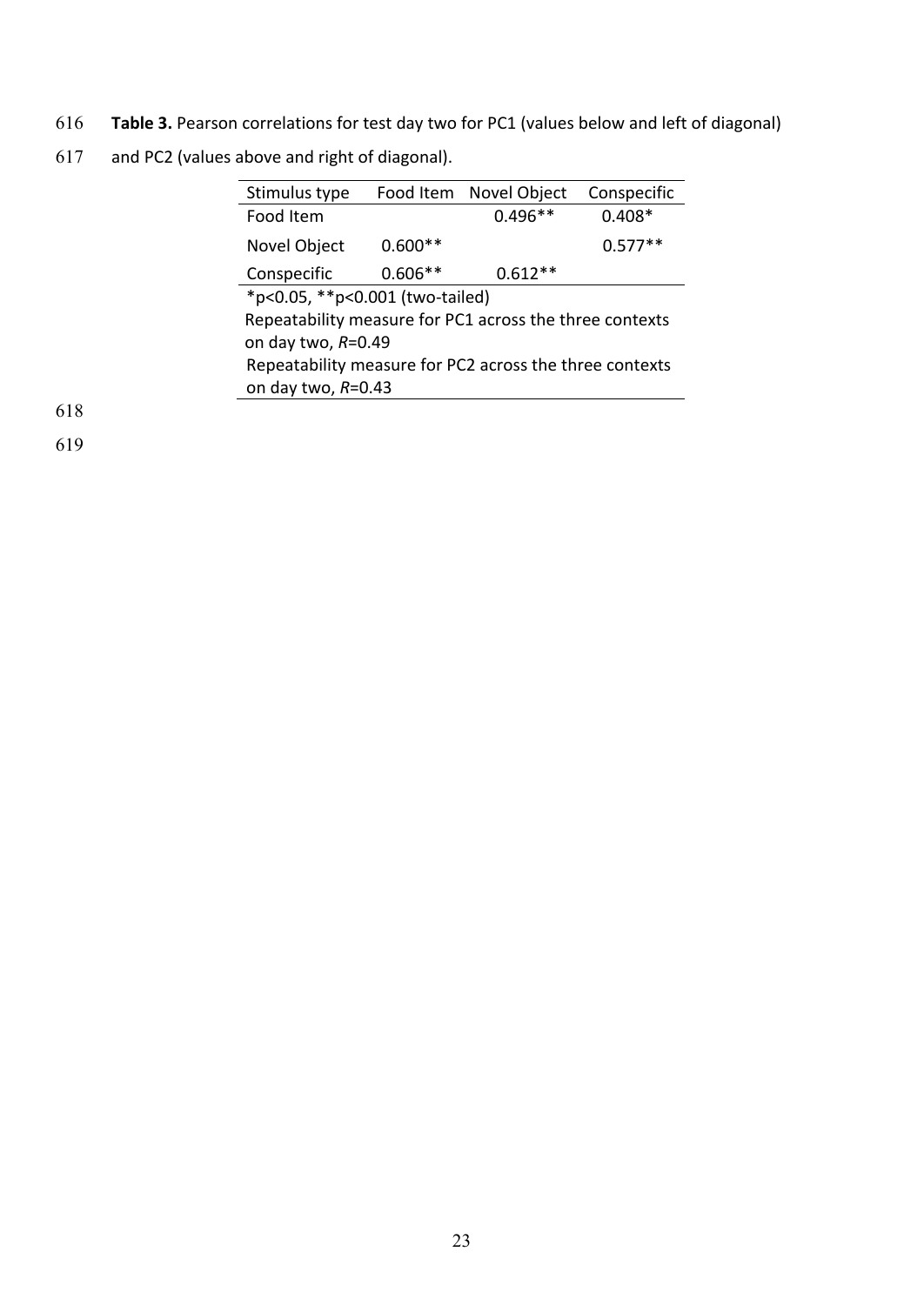- 616 Table 3. Pearson correlations for test day two for PC1 (values below and left of diagonal)
- 617 and PC2 (values above and right of diagonal).

| Stimulus type                                           | Food Item | Novel Object | Conspecific |  |
|---------------------------------------------------------|-----------|--------------|-------------|--|
| Food Item                                               |           | $0.496**$    | $0.408*$    |  |
| Novel Object                                            | $0.600**$ |              | $0.577**$   |  |
| Conspecific                                             | $0.606**$ | $0.612**$    |             |  |
| *p<0.05, **p<0.001 (two-tailed)                         |           |              |             |  |
| Repeatability measure for PC1 across the three contexts |           |              |             |  |
| on day two, $R=0.49$                                    |           |              |             |  |
| Repeatability measure for PC2 across the three contexts |           |              |             |  |
| on day two, $R=0.43$                                    |           |              |             |  |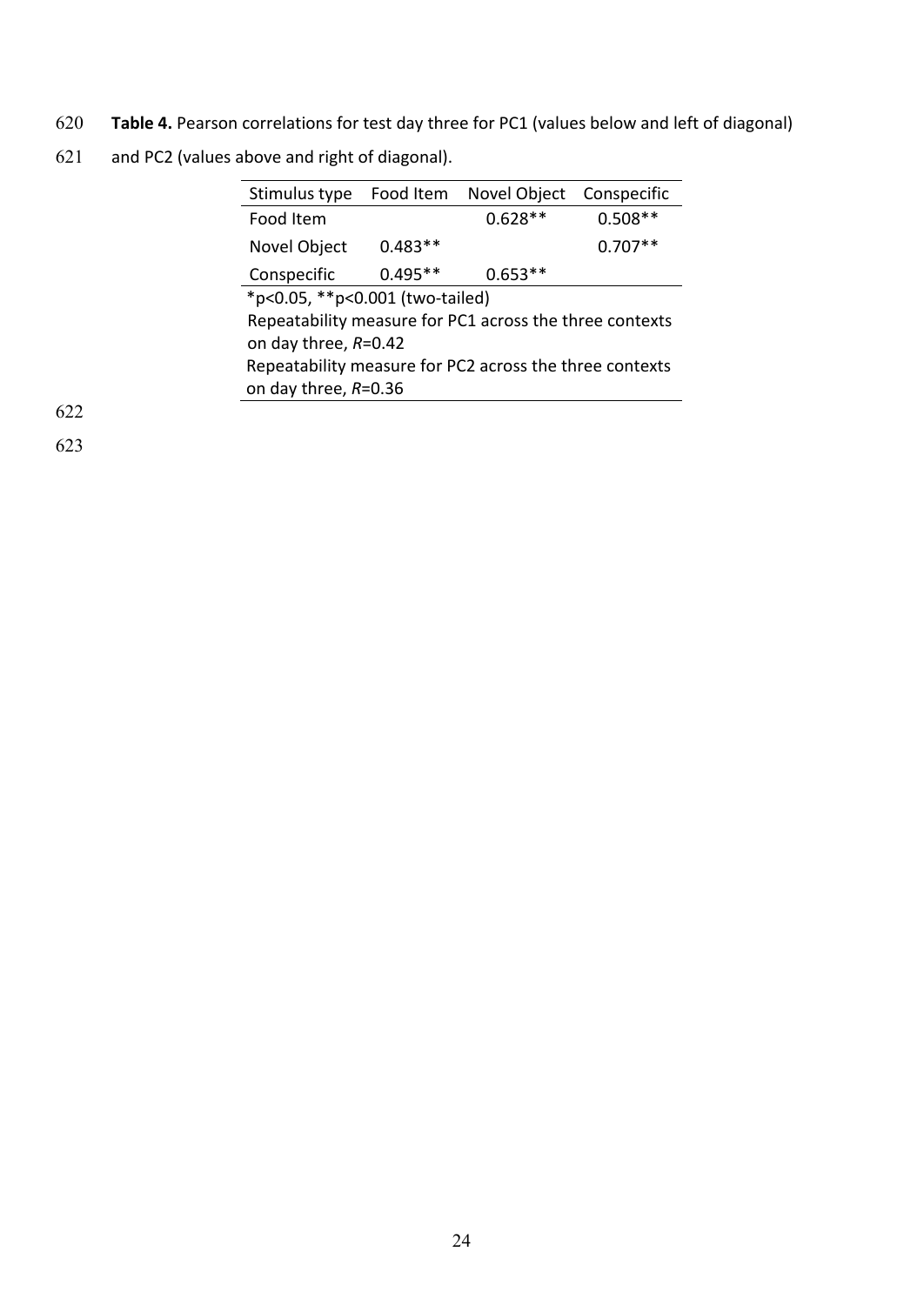- 620 Table 4. Pearson correlations for test day three for PC1 (values below and left of diagonal)
- 621 and PC2 (values above and right of diagonal).

| Stimulus type                                           | Food Item | Novel Object | Conspecific |  |
|---------------------------------------------------------|-----------|--------------|-------------|--|
| Food Item                                               |           | $0.628**$    | $0.508**$   |  |
| Novel Object                                            | $0.483**$ |              | $0.707**$   |  |
| Conspecific                                             | $0.495**$ | $0.653**$    |             |  |
| *p<0.05, **p<0.001 (two-tailed)                         |           |              |             |  |
| Repeatability measure for PC1 across the three contexts |           |              |             |  |
| on day three, $R=0.42$                                  |           |              |             |  |
| Repeatability measure for PC2 across the three contexts |           |              |             |  |
| on day three, $R=0.36$                                  |           |              |             |  |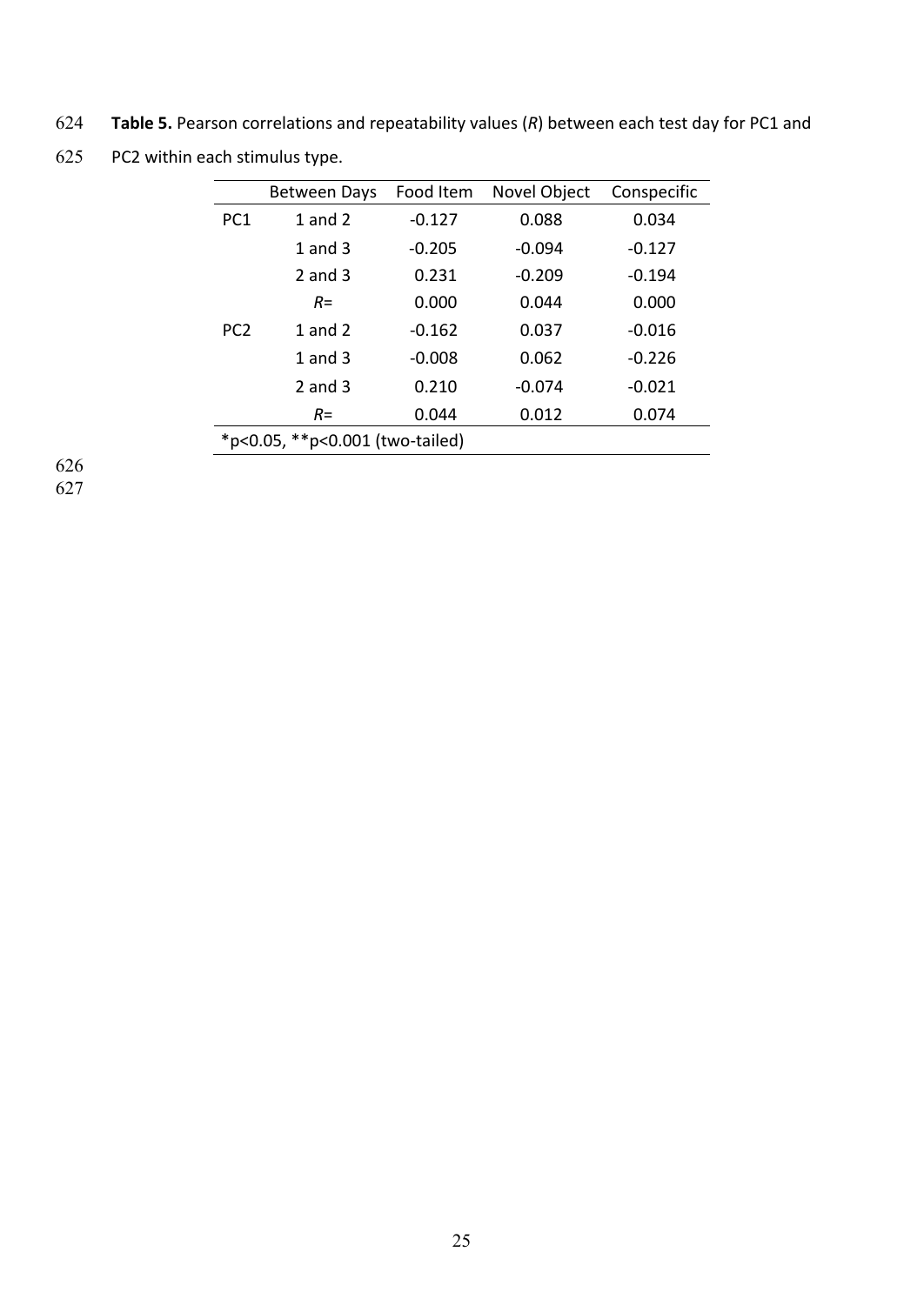624 Table 5. Pearson correlations and repeatability values (R) between each test day for PC1 and

625 PC2 within each stimulus type.

|                                 | <b>Between Days</b> | Food Item | Novel Object | Conspecific |
|---------------------------------|---------------------|-----------|--------------|-------------|
| PC <sub>1</sub>                 | 1 and $2$           | $-0.127$  | 0.088        | 0.034       |
|                                 | 1 and $3$           | $-0.205$  | $-0.094$     | $-0.127$    |
|                                 | 2 and $3$           | 0.231     | $-0.209$     | $-0.194$    |
|                                 | $R =$               | 0.000     | 0.044        | 0.000       |
| PC <sub>2</sub>                 | 1 and $2$           | $-0.162$  | 0.037        | $-0.016$    |
|                                 | 1 and $3$           | $-0.008$  | 0.062        | $-0.226$    |
|                                 | 2 and $3$           | 0.210     | $-0.074$     | $-0.021$    |
|                                 | $R =$               | 0.044     | 0.012        | 0.074       |
| *p<0.05, **p<0.001 (two-tailed) |                     |           |              |             |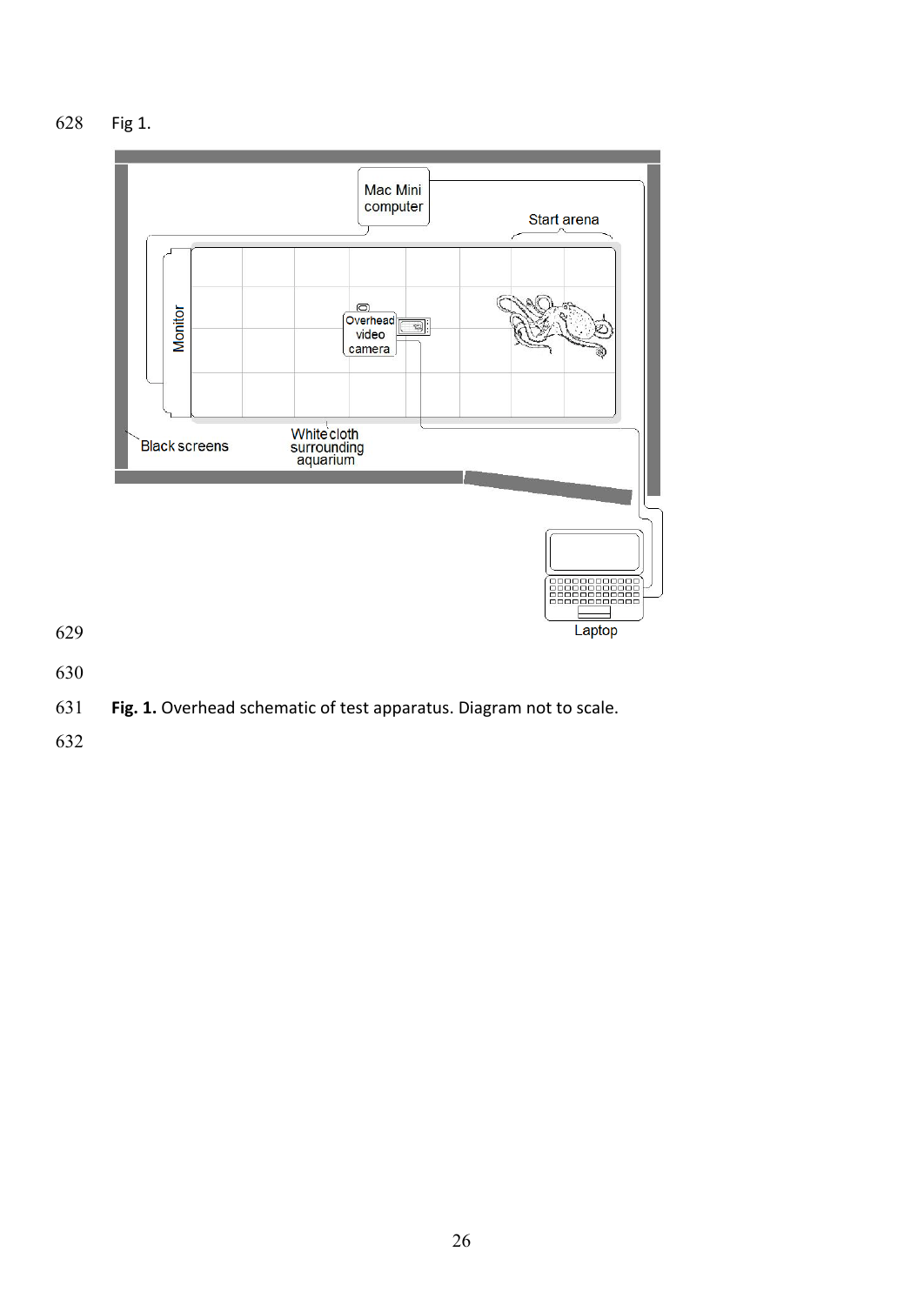628 Fig 1.



**Fig. 1.** Overhead schematic of test apparatus. Diagram not to scale.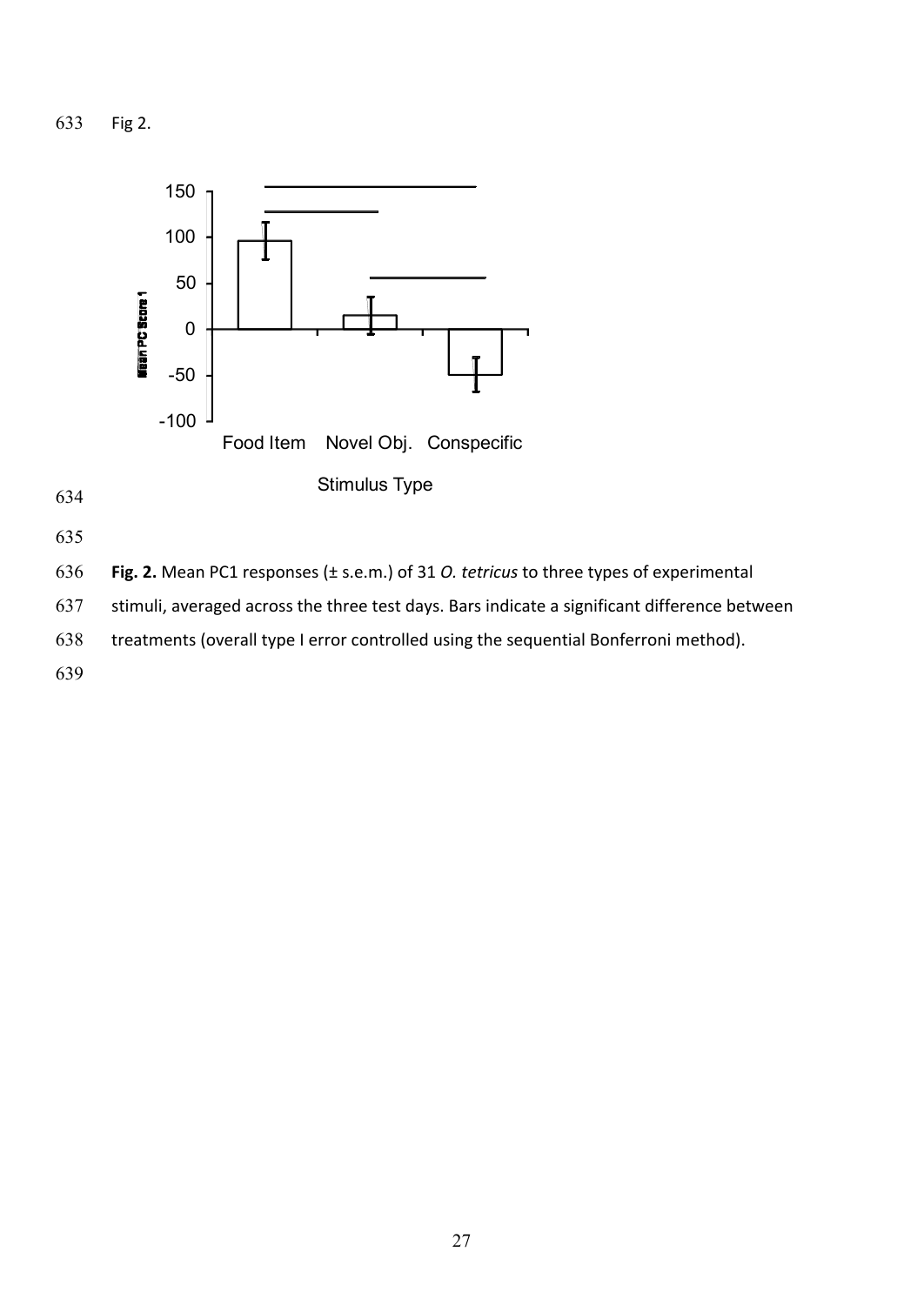633 Fig 2.



635

636 **Fig. 2.** Mean PC1 responses (± s.e.m.) of 31 *O. tetricus* to three types of experimental

637 stimuli, averaged across the three test days. Bars indicate a significant difference between

638 treatments (overall type I error controlled using the sequential Bonferroni method).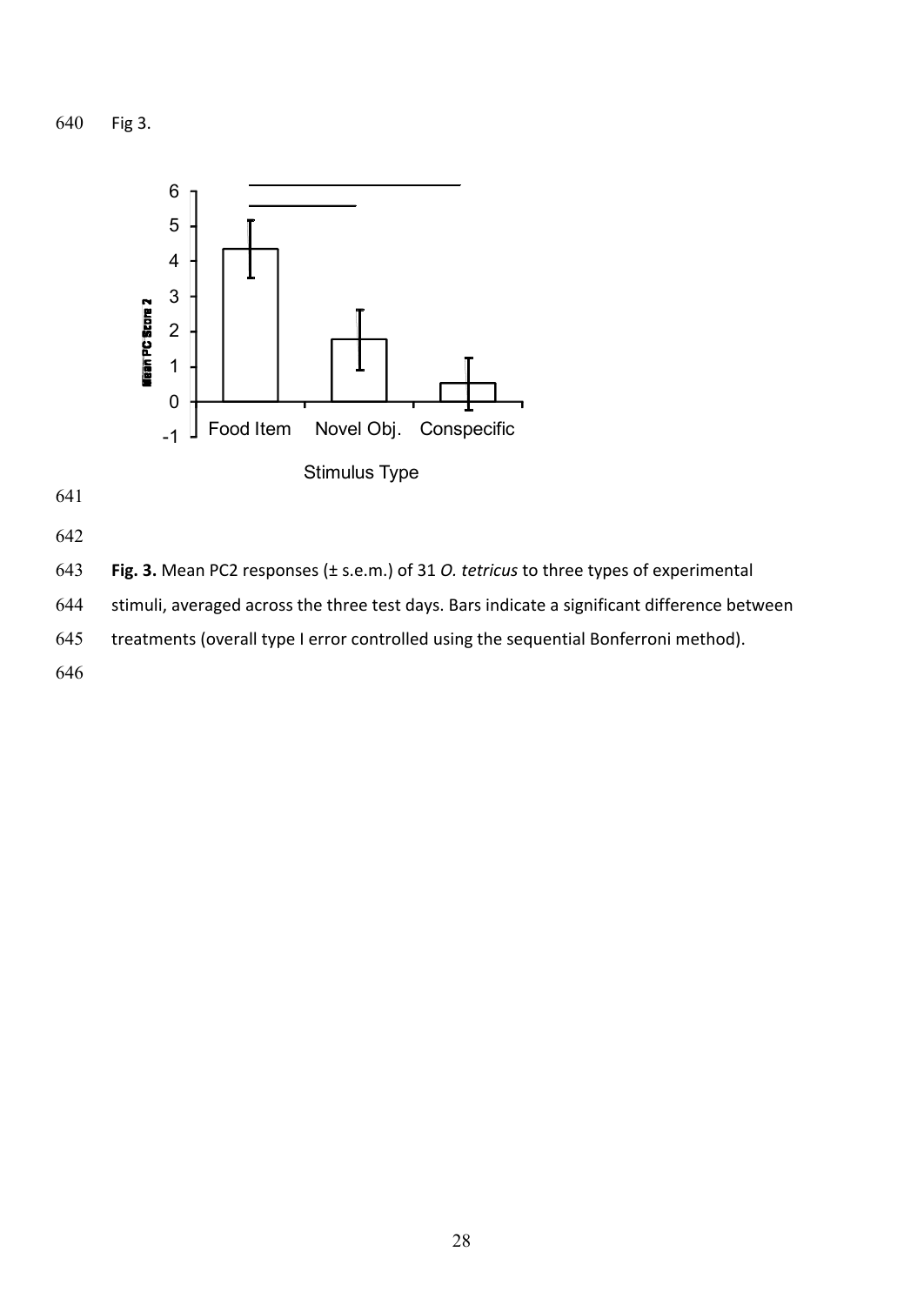640 Fig 3.





644 stimuli, averaged across the three test days. Bars indicate a significant difference between

645 treatments (overall type I error controlled using the sequential Bonferroni method).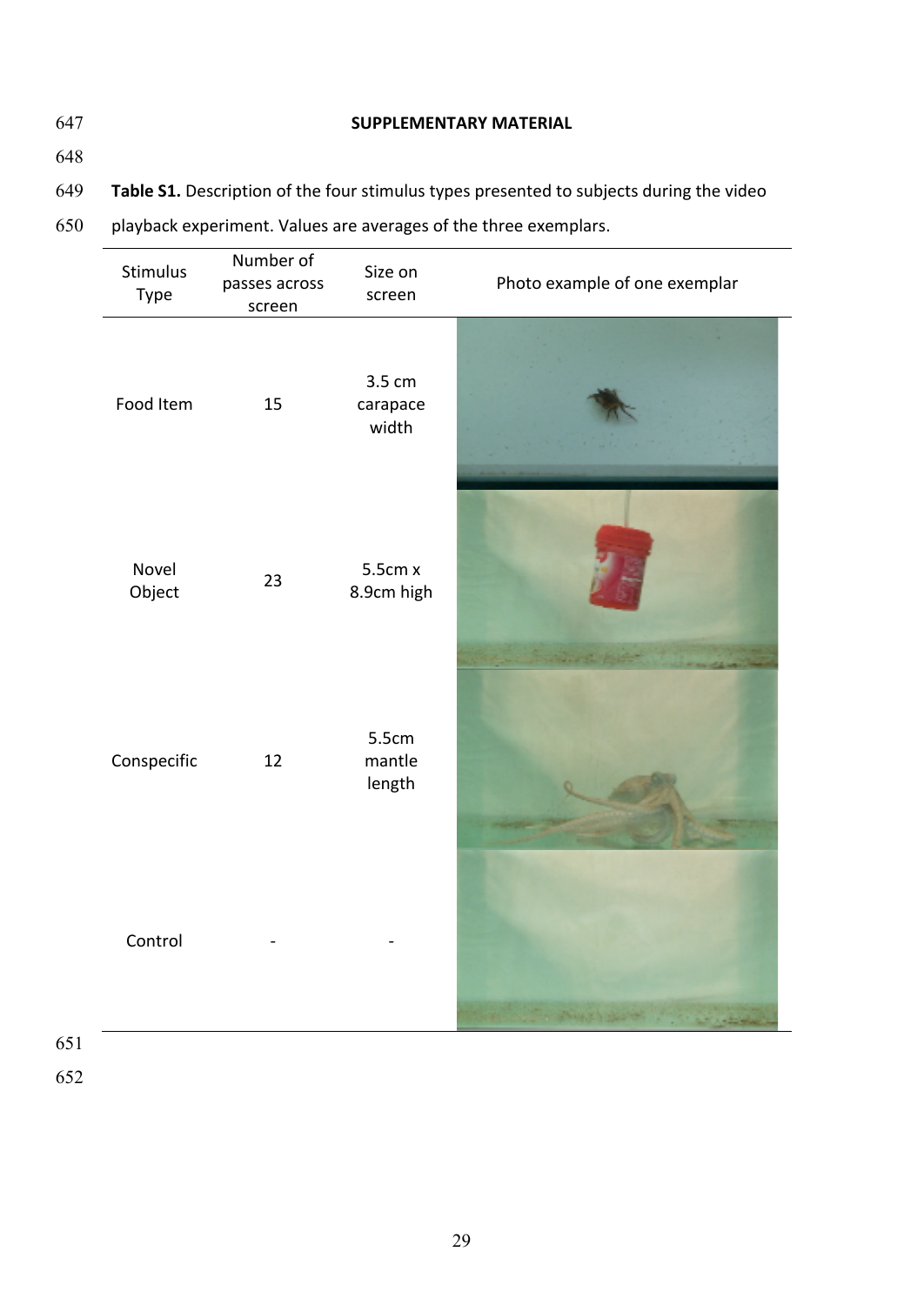# 647 **SUPPLEMENTARY MATERIAL**

648

649 Table S1. Description of the four stimulus types presented to subjects during the video

650 playback experiment. Values are averages of the three exemplars.

| Stimulus<br>Type | Number of<br>passes across<br>screen | Size on<br>screen           | Photo example of one exemplar |
|------------------|--------------------------------------|-----------------------------|-------------------------------|
| Food Item        | 15                                   | 3.5 cm<br>carapace<br>width |                               |
| Novel<br>Object  | 23                                   | 5.5cm x<br>8.9cm high       |                               |
| Conspecific      | 12                                   | 5.5cm<br>mantle<br>length   |                               |
| Control          |                                      |                             |                               |

651